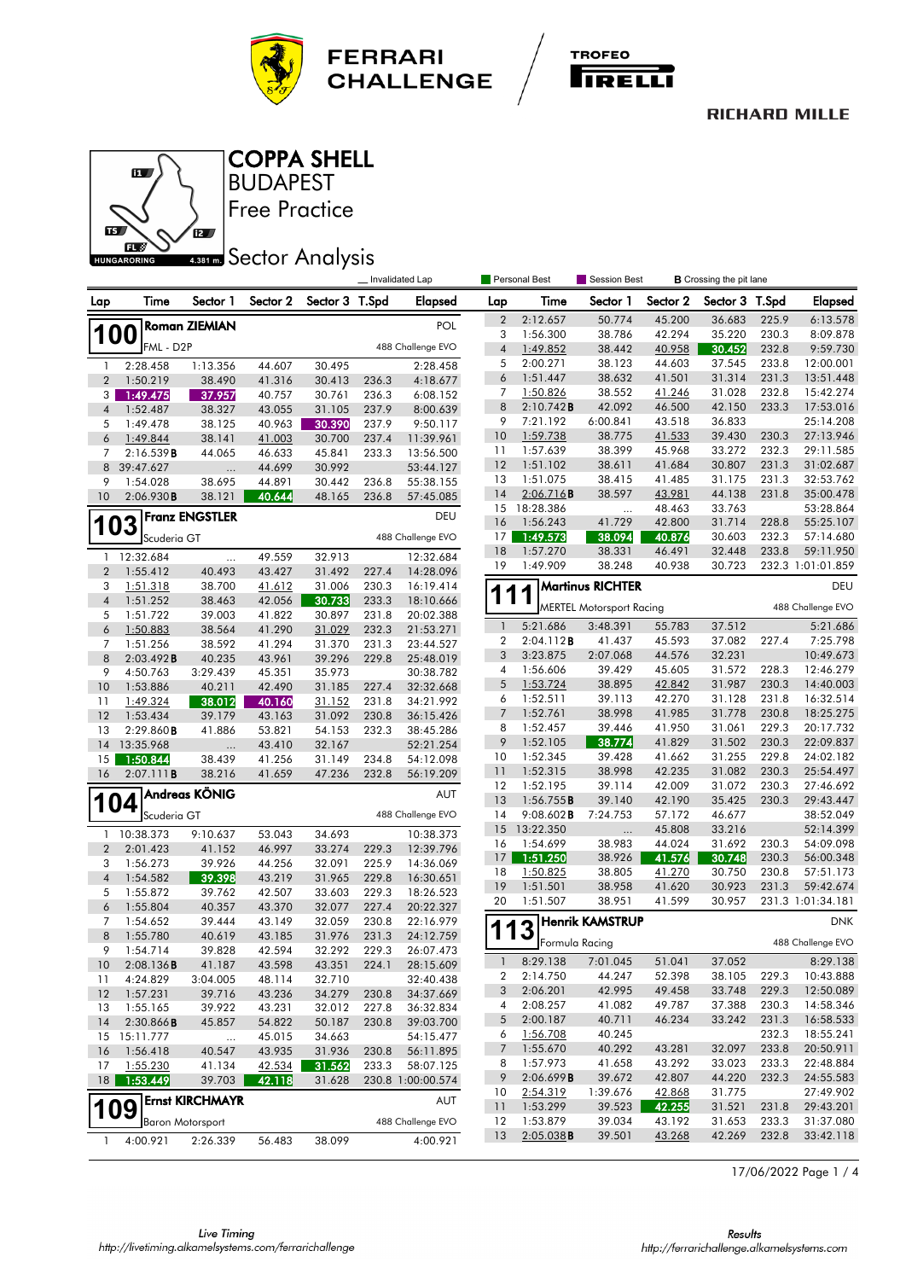





Free Practice **BUDAPEST** 

COPPA SHELL

# **ABBI Sector Analysis**

|                |                       |                         |                  |                  |                | Invalidated Lap        | Personal Best    |                                  | Session Best                    |                  | <b>B</b> Crossing the pit lane |       |                        |
|----------------|-----------------------|-------------------------|------------------|------------------|----------------|------------------------|------------------|----------------------------------|---------------------------------|------------------|--------------------------------|-------|------------------------|
| Lap            | Time                  | Sector 1                | Sector 2         | Sector 3 T.Spd   |                | <b>Elapsed</b>         | Lap              | Time                             | Sector 1                        | Sector 2         | Sector 3                       | T.Spd | <b>Elapsed</b>         |
|                |                       | <b>Roman ZIEMIAN</b>    |                  |                  |                | POL                    | $\boldsymbol{2}$ | 2:12.657                         | 50.774                          | 45.200           | 36.683                         | 225.9 | 6:13.578               |
| <b>100</b>     |                       |                         |                  |                  |                |                        | 3                | 1:56.300                         | 38.786                          | 42.294           | 35.220                         | 230.3 | 8:09.878               |
|                | FML - D2P             |                         |                  |                  |                | 488 Challenge EVO      | $\pmb{4}$        | 1:49.852                         | 38.442                          | 40.958           | 30.452                         | 232.8 | 9:59.730               |
| 1              | 2:28.458              | 1:13.356                | 44.607           | 30.495           |                | 2:28.458               | 5                | 2:00.271                         | 38.123                          | 44.603           | 37.545                         | 233.8 | 12:00.001              |
| $\overline{2}$ | 1:50.219              | 38.490                  | 41.316           | 30.413           | 236.3          | 4:18.677               | 6                | 1:51.447                         | 38.632                          | 41.501           | 31.314                         | 231.3 | 13:51.448              |
| 3              | 1:49.475              | 37.957                  | 40.757           | 30.761           | 236.3          | 6:08.152               | 7                | 1:50.826                         | 38.552                          | 41.246           | 31.028                         | 232.8 | 15:42.274              |
| $\overline{4}$ | 1:52.487              | 38.327                  | 43.055           | 31.105           | 237.9          | 8:00.639               | 8                | 2:10.742B                        | 42.092                          | 46.500           | 42.150                         | 233.3 | 17:53.016              |
| 5              | 1:49.478              | 38.125                  | 40.963           | 30.390           | 237.9          | 9:50.117               | 9                | 7:21.192                         | 6:00.841                        | 43.518           | 36.833                         |       | 25:14.208              |
| 6              | 1:49.844              | 38.141                  | 41.003           | 30.700           | 237.4          | 11:39.961              | 10               | 1:59.738                         | 38.775                          | 41.533           | 39.430                         | 230.3 | 27:13.946              |
| 7              | 2:16.539B             | 44.065                  | 46.633           | 45.841           | 233.3          | 13:56.500              | 11               | 1:57.639                         | 38.399                          | 45.968           | 33.272                         | 232.3 | 29:11.585              |
| 8              | 39:47.627             |                         | 44.699           | 30.992           |                | 53:44.127              | 12               | 1:51.102                         | 38.611                          | 41.684           | 30.807                         | 231.3 | 31:02.687              |
| 9              | 1:54.028              | 38.695                  | 44.891           | 30.442           | 236.8          | 55:38.155              | 13               | 1:51.075                         | 38.415                          | 41.485           | 31.175                         | 231.3 | 32:53.762              |
| 10             | 2:06.930B             | 38.121                  | 40.644           | 48.165           | 236.8          | 57:45.085              | 14               | $2:06.716$ B                     | 38.597                          | 43.981           | 44.138                         | 231.8 | 35:00.478              |
|                |                       | <b>Franz ENGSTLER</b>   |                  |                  |                | DEU                    | 15               | 18:28.386                        | $\ddotsc$                       | 48.463           | 33.763                         |       | 53:28.864              |
| 103            |                       |                         |                  |                  |                |                        | 16               | 1:56.243                         | 41.729                          | 42.800           | 31.714                         | 228.8 | 55:25.107              |
|                | Scuderia GT           |                         |                  |                  |                | 488 Challenge EVO      | 17               | 1:49.573                         | 38.094                          | 40.876           | 30.603                         | 232.3 | 57:14.680              |
| $\mathbf{1}$   | 12:32.684             |                         | 49.559           | 32.913           |                | 12:32.684              | 18               | 1:57.270                         | 38.331                          | 46.491           | 32.448                         | 233.8 | 59:11.950              |
| $\overline{2}$ | 1:55.412              | 40.493                  | 43.427           | 31.492           | 227.4          | 14:28.096              | 19               | 1:49.909                         | 38.248                          | 40.938           | 30.723                         |       | 232.3 1:01:01.859      |
| 3              | 1:51.318              | 38.700                  | 41.612           | 31.006           | 230.3          | 16:19.414              |                  |                                  | <b>Martinus RICHTER</b>         |                  |                                |       | DEU                    |
| $\overline{4}$ | 1:51.252              | 38.463                  | 42.056           | 30.733           | 233.3          | 18:10.666              | 1                |                                  |                                 |                  |                                |       |                        |
| 5              | 1:51.722              | 39.003                  | 41.822           | 30.897           | 231.8          | 20:02.388              |                  |                                  | <b>MERTEL Motorsport Racing</b> |                  |                                |       | 488 Challenge EVO      |
| 6              | 1:50.883              | 38.564                  | 41.290           | 31.029           | 232.3          | 21:53.271              | $\mathbf{1}$     | 5:21.686                         | 3:48.391                        | 55.783           | 37.512                         |       | 5:21.686               |
| 7              | 1:51.256              | 38.592                  | 41.294           | 31.370           | 231.3          | 23:44.527              | $\boldsymbol{2}$ | 2:04.112B                        | 41.437                          | 45.593           | 37.082                         | 227.4 | 7:25.798               |
| 8              | 2:03.492B             | 40.235                  | 43.961           | 39.296           | 229.8          | 25:48.019              | 3                | 3:23.875                         | 2:07.068                        | 44.576           | 32.231                         |       | 10:49.673              |
| 9              | 4:50.763              | 3:29.439                | 45.351           | 35.973           |                | 30:38.782              | 4                | 1:56.606                         | 39.429                          | 45.605           | 31.572                         | 228.3 | 12:46.279              |
| 10             | 1:53.886              | 40.211                  | 42.490           | 31.185           | 227.4          | 32:32.668              | 5                | 1:53.724                         | 38.895                          | 42.842           | 31.987                         | 230.3 | 14:40.003              |
| 11             | 1:49.324              | 38.012                  | 40.160           | 31.152           | 231.8          | 34:21.992              | 6                | 1:52.511                         | 39.113                          | 42.270           | 31.128                         | 231.8 | 16:32.514              |
| 12             | 1:53.434              | 39.179                  | 43.163           | 31.092           | 230.8          | 36:15.426              | 7                | 1:52.761                         | 38.998                          | 41.985           | 31.778                         | 230.8 | 18:25.275              |
| 13             | 2:29.860B             | 41.886                  | 53.821           | 54.153           | 232.3          | 38:45.286              | 8                | 1:52.457                         | 39.446                          | 41.950           | 31.061                         | 229.3 | 20:17.732              |
| 14             | 13:35.968             |                         | 43.410           | 32.167           |                | 52:21.254              | 9                | 1:52.105                         | 38.774                          | 41.829           | 31.502                         | 230.3 | 22:09.837              |
| 15             | 1:50.844              | 38.439                  | 41.256           | 31.149           | 234.8          | 54:12.098              | 10               | 1:52.345                         | 39.428                          | 41.662           | 31.255                         | 229.8 | 24:02.182              |
| 16             | 2:07.111B             | 38.216                  | 41.659           | 47.236           | 232.8          | 56:19.209              | 11               | 1:52.315                         | 38.998                          | 42.235           | 31.082                         | 230.3 | 25:54.497              |
|                |                       | Andreas KÖNIG           |                  |                  |                | <b>AUT</b>             | 12               | 1:52.195                         | 39.114                          | 42.009           | 31.072                         | 230.3 | 27:46.692              |
| 104            |                       |                         |                  |                  |                |                        | 13               | 1:56.755B                        | 39.140                          | 42.190           | 35.425                         | 230.3 | 29:43.447              |
|                | Scuderia GT           |                         |                  |                  |                | 488 Challenge EVO      | 14<br>15         | $9:08.602$ <b>B</b><br>13:22.350 | 7:24.753                        | 57.172<br>45.808 | 46.677                         |       | 38:52.049              |
| $\mathbf{1}$   | 10:38.373             | 9:10.637                | 53.043           | 34.693           |                | 10:38.373              | 16               | 1:54.699                         | <br>38.983                      | 44.024           | 33.216<br>31.692               | 230.3 | 52:14.399<br>54:09.098 |
| $\overline{2}$ | 2:01.423              | 41.152                  | 46.997           | 33.274           | 229.3          | 12:39.796              | 17               | 1:51.250                         | 38.926                          | 41.576           | 30.748                         | 230.3 | 56:00.348              |
| 3              | 1:56.273              | 39.926                  | 44.256           | 32.091           | 225.9          | 14:36.069              | 18               | 1:50.825                         | 38.805                          | 41.270           | 30.750                         | 230.8 | 57:51.173              |
| $\sqrt{4}$     | 1:54.582              | 39.398                  | 43.219           | 31.965           | 229.8          | 16:30.651              | 19               | 1:51.501                         | 38.958                          | 41.620           | 30.923                         | 231.3 | 59:42.674              |
| 5              | 1:55.872              | 39.762                  | 42.507           | 33.603           | 229.3          | 18:26.523              | 20               | 1:51.507                         | 38.951                          | 41.599           | 30.957                         |       | 231.3 1:01:34.181      |
| 6              | 1:55.804              | 40.357                  | 43.370           | 32.077           | 227.4          | 20:22.327              |                  |                                  |                                 |                  |                                |       |                        |
| 7              | 1:54.652              | 39.444                  | 43.149           | 32.059           | 230.8          | 22:16.979              | 1                | 3                                | <b>Henrik KAMSTRUP</b>          |                  |                                |       | <b>DNK</b>             |
| 8              | 1:55.780              | 40.619                  | 43.185           | 31.976           | 231.3          | 24:12.759              |                  | Formula Racing                   |                                 |                  |                                |       | 488 Challenge EVO      |
| 9              | 1:54.714              | 39.828                  | 42.594           | 32.292           | 229.3          | 26:07.473              | $\mathbf{1}$     | 8:29.138                         | 7:01.045                        | 51.041           | 37.052                         |       | 8:29.138               |
| 10             | 2:08.136B             | 41.187                  | 43.598           | 43.351           | 224.1          | 28:15.609              | 2                | 2:14.750                         | 44.247                          | 52.398           | 38.105                         | 229.3 | 10:43.888              |
| 11             | 4:24.829              | 3:04.005                | 48.114           | 32.710           |                | 32:40.438<br>34:37.669 | 3                | 2:06.201                         | 42.995                          | 49.458           | 33.748                         | 229.3 | 12:50.089              |
| 12             | 1:57.231              | 39.716                  | 43.236           | 34.279           | 230.8          |                        | 4                | 2:08.257                         | 41.082                          | 49.787           | 37.388                         | 230.3 | 14:58.346              |
| 13<br>14       | 1:55.165<br>2:30.866B | 39.922<br>45.857        | 43.231<br>54.822 | 32.012<br>50.187 | 227.8<br>230.8 | 36:32.834<br>39:03.700 | 5                | 2:00.187                         | 40.711                          | 46.234           | 33.242                         | 231.3 | 16:58.533              |
| 15             | 15:11.777             |                         | 45.015           | 34.663           |                | 54:15.477              | 6                | 1:56.708                         | 40.245                          |                  |                                | 232.3 | 18:55.241              |
| 16             | 1:56.418              | $\ddotsc$<br>40.547     | 43.935           | 31.936           | 230.8          | 56:11.895              | 7                | 1:55.670                         | 40.292                          | 43.281           | 32.097                         | 233.8 | 20:50.911              |
| 17             | 1:55.230              | 41.134                  | 42.534           | 31.562           | 233.3          | 58:07.125              | 8                | 1:57.973                         | 41.658                          | 43.292           | 33.023                         | 233.3 | 22:48.884              |
| 18             | 1:53.449              | 39.703                  | 42.118           | 31.628           |                | 230.8 1:00:00.574      | 9                | 2:06.699B                        | 39.672                          | 42.807           | 44.220                         | 232.3 | 24:55.583              |
|                |                       |                         |                  |                  |                |                        | 10               | 2:54.319                         | 1:39.676                        | 42.868           | 31.775                         |       | 27:49.902              |
| 109            |                       | <b>Ernst KIRCHMAYR</b>  |                  |                  |                | AUT                    | 11               | 1:53.299                         | 39.523                          | 42.255           | 31.521                         | 231.8 | 29:43.201              |
|                |                       | <b>Baron Motorsport</b> |                  |                  |                | 488 Challenge EVO      | 12               | 1:53.879                         | 39.034                          | 43.192           | 31.653                         | 233.3 | 31:37.080              |
| $\mathbf{1}$   | 4:00.921              | 2:26.339                | 56.483           | 38.099           |                | 4:00.921               | 13               | 2:05.038B                        | 39.501                          | 43.268           | 42.269                         | 232.8 | 33:42.118              |
|                |                       |                         |                  |                  |                |                        |                  |                                  |                                 |                  |                                |       |                        |

17/06/2022 Page 1 / 4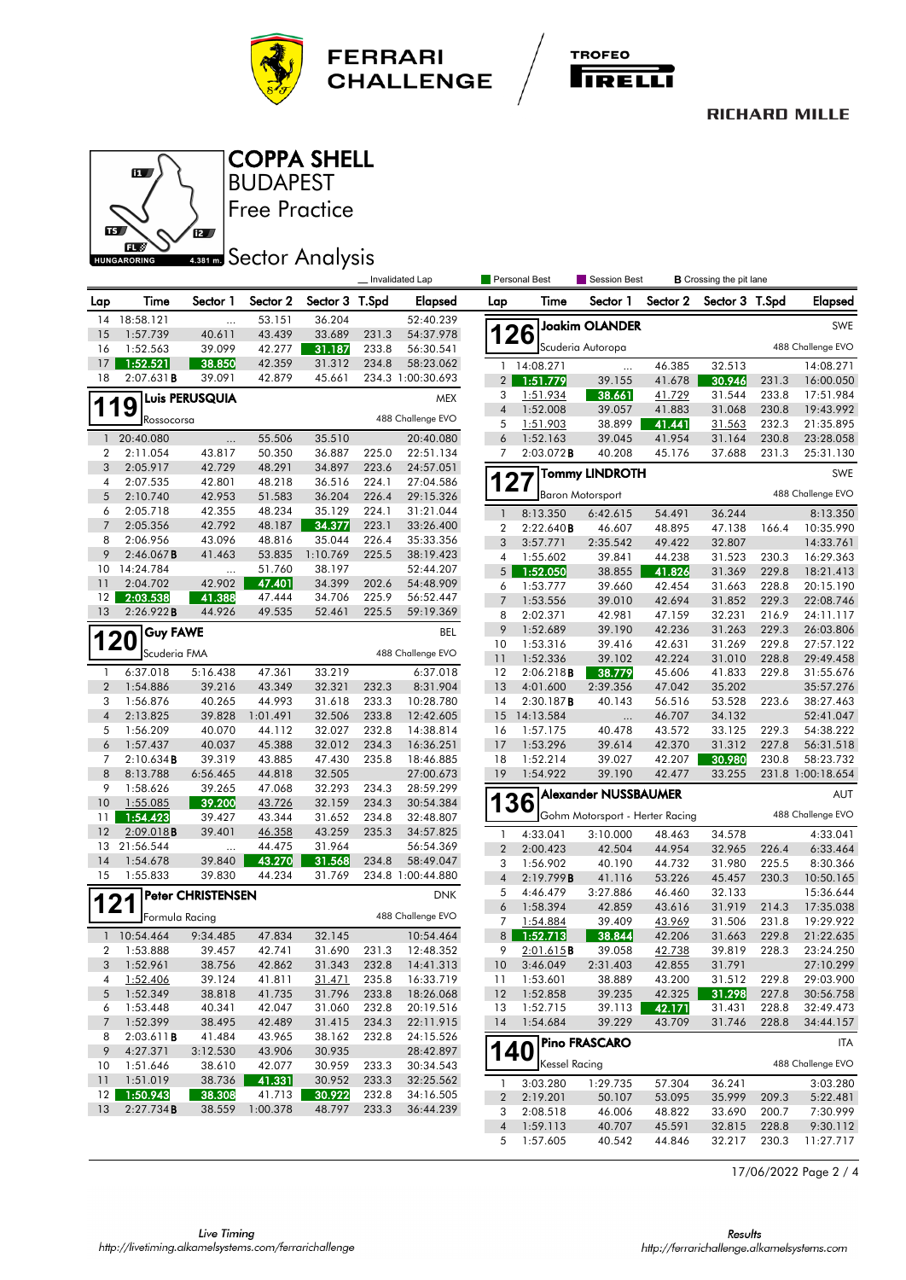





Free Practice **BUDAPEST** COPPA SHELL

# **4.381 mm** Sector Analysis

|                |                       |                          |                  |                  |                | Invalidated Lap                |                       | <b>Personal Best</b>        | Session Best                    |                  | <b>B</b> Crossing the pit lane |                |                        |
|----------------|-----------------------|--------------------------|------------------|------------------|----------------|--------------------------------|-----------------------|-----------------------------|---------------------------------|------------------|--------------------------------|----------------|------------------------|
| Lap            | Time                  | Sector 1                 | Sector 2         | Sector 3 T.Spd   |                | <b>Elapsed</b>                 | Lap                   | Time                        | Sector 1                        | Sector 2         | Sector 3 T.Spd                 |                | <b>Elapsed</b>         |
| 14             | 18:58.121             | $\ldots$                 | 53.151           | 36.204           |                | 52:40.239                      |                       |                             | <b>Joakim OLANDER</b>           |                  |                                |                | SWE                    |
| 15             | 1:57.739              | 40.611                   | 43.439           | 33.689           | 231.3          | 54:37.978                      |                       | 26                          |                                 |                  |                                |                | 488 Challenge EVO      |
| 16<br>17       | 1:52.563<br>1:52.521  | 39.099<br>38.850         | 42.277<br>42.359 | 31.187<br>31.312 | 233.8<br>234.8 | 56:30.541                      |                       |                             | Scuderia Autoropa               |                  |                                |                |                        |
| 18             | 2:07.631B             | 39.091                   | 42.879           | 45.661           |                | 58:23.062<br>234.3 1:00:30.693 |                       | $1 - 14:08.271$<br>1:51.779 |                                 | 46.385<br>41.678 | 32.513                         |                | 14:08.271              |
|                |                       |                          |                  |                  |                |                                | 2 <sup>1</sup><br>3   | 1:51.934                    | 39.155<br>38.661                | 41.729           | 30.946<br>31.544               | 231.3<br>233.8 | 16:00.050<br>17:51.984 |
|                | 9                     | Luis PERUSQUIA           |                  |                  |                | MEX                            | $\overline{4}$        | 1:52.008                    | 39.057                          | 41.883           | 31.068                         | 230.8          | 19:43.992              |
|                | Rossocorsa            |                          |                  |                  |                | 488 Challenge EVO              | 5                     | 1:51.903                    | 38.899                          | 41.441           | 31.563                         | 232.3          | 21:35.895              |
| $\mathbf{1}$   | 20:40.080             | $\ldots$                 | 55.506           | 35.510           |                | 20:40.080                      | 6                     | 1:52.163                    | 39.045                          | 41.954           | 31.164                         | 230.8          | 23:28.058              |
| $\overline{2}$ | 2:11.054              | 43.817                   | 50.350           | 36.887           | 225.0          | 22:51.134                      | $\overline{7}$        | $2:03.072$ B                | 40.208                          | 45.176           | 37.688                         | 231.3          | 25:31.130              |
| 3              | 2:05.917              | 42.729                   | 48.291           | 34.897           | 223.6          | 24:57.051                      |                       |                             | <b>Tommy LINDROTH</b>           |                  |                                |                | SWE                    |
| 4              | 2:07.535              | 42.801                   | 48.218           | 36.516           | 224.1          | 27:04.586                      |                       | 27                          |                                 |                  |                                |                | 488 Challenge EVO      |
| 5<br>6         | 2:10.740<br>2:05.718  | 42.953<br>42.355         | 51.583<br>48.234 | 36.204<br>35.129 | 226.4<br>224.1 | 29:15.326<br>31:21.044         |                       |                             | <b>Baron Motorsport</b>         |                  |                                |                |                        |
| $\overline{7}$ | 2:05.356              | 42.792                   | 48.187           | 34.377           | 223.1          | 33:26.400                      | $\mathbf{1}$          | 8:13.350                    | 6:42.615                        | 54.491           | 36.244                         |                | 8:13.350               |
| 8              | 2:06.956              | 43.096                   | 48.816           | 35.044           | 226.4          | 35:33.356                      | $\boldsymbol{2}$<br>3 | 2:22.640B<br>3:57.771       | 46.607<br>2:35.542              | 48.895<br>49.422 | 47.138<br>32.807               | 166.4          | 10:35.990<br>14:33.761 |
| 9              | 2:46.067B             | 41.463                   | 53.835           | 1:10.769         | 225.5          | 38:19.423                      | 4                     | 1:55.602                    | 39.841                          | 44.238           | 31.523                         | 230.3          | 16:29.363              |
|                | 10 14:24.784          | $\ddotsc$                | 51.760           | 38.197           |                | 52:44.207                      | 5                     | 1:52.050                    | 38.855                          | 41.826           | 31.369                         | 229.8          | 18:21.413              |
| 11             | 2:04.702              | 42.902                   | 47.401           | 34.399           | 202.6          | 54:48.909                      | 6                     | 1:53.777                    | 39.660                          | 42.454           | 31.663                         | 228.8          | 20:15.190              |
| 12             | 2:03.538              | 41.388                   | 47.444           | 34.706           | 225.9          | 56:52.447                      | 7                     | 1:53.556                    | 39.010                          | 42.694           | 31.852                         | 229.3          | 22:08.746              |
| 13             | 2:26.922B             | 44.926                   | 49.535           | 52.461           | 225.5          | 59:19.369                      | 8                     | 2:02.371                    | 42.981                          | 47.159           | 32.231                         | 216.9          | 24:11.117              |
|                |                       |                          |                  |                  |                |                                | 9                     | 1:52.689                    | 39.190                          | 42.236           | 31.263                         | 229.3          | 26:03.806              |
| <b>120</b>     | <b>Guy FAWE</b>       |                          |                  |                  |                | BEL                            | 10                    | 1:53.316                    | 39.416                          | 42.631           | 31.269                         | 229.8          | 27:57.122              |
|                | Scuderia FMA          |                          |                  |                  |                | 488 Challenge EVO              | 11                    | 1:52.336                    | 39.102                          | 42.224           | 31.010                         | 228.8          | 29:49.458              |
| $\mathbf{1}$   | 6:37.018              | 5:16.438                 | 47.361           | 33.219           |                | 6:37.018                       | 12                    | 2:06.218B                   | 38.779                          | 45.606           | 41.833                         | 229.8          | 31:55.676              |
| $\overline{2}$ | 1:54.886              | 39.216                   | 43.349           | 32.321           | 232.3          | 8:31.904                       | 13                    | 4:01.600                    | 2:39.356                        | 47.042           | 35.202                         |                | 35:57.276              |
| 3              | 1:56.876              | 40.265                   | 44.993           | 31.618           | 233.3          | 10:28.780                      | 14                    | 2:30.187B                   | 40.143                          | 56.516           | 53.528                         | 223.6          | 38:27.463              |
| $\overline{4}$ | 2:13.825              | 39.828                   | 1:01.491         | 32.506           | 233.8          | 12:42.605                      | 15                    | 14:13.584                   | $\cdots$                        | 46.707           | 34.132                         |                | 52:41.047              |
| 5              | 1:56.209              | 40.070                   | 44.112           | 32.027           | 232.8          | 14:38.814                      | 16                    | 1:57.175                    | 40.478                          | 43.572           | 33.125                         | 229.3          | 54:38.222              |
| 6              | 1:57.437              | 40.037                   | 45.388           | 32.012           | 234.3          | 16:36.251                      | 17                    | 1:53.296                    | 39.614                          | 42.370           | 31.312                         | 227.8          | 56:31.518              |
| 7              | 2:10.634B             | 39.319                   | 43.885           | 47.430           | 235.8          | 18:46.885                      | 18                    | 1:52.214                    | 39.027                          | 42.207           | 30.980                         | 230.8          | 58:23.732              |
| 8              | 8:13.788              | 6:56.465                 | 44.818           | 32.505           |                | 27:00.673                      | 19                    | 1:54.922                    | 39.190                          | 42.477           | 33.255                         |                | 231.8 1:00:18.654      |
| 9              | 1:58.626              | 39.265                   | 47.068           | 32.293           | 234.3          | 28:59.299                      |                       |                             | <b>Alexander NUSSBAUMER</b>     |                  |                                |                | AUT                    |
| 10             | 1:55.085              | 39.200                   | 43.726           | 32.159           | 234.3          | 30:54.384                      |                       | 36                          |                                 |                  |                                |                |                        |
| 11             | 1:54.423              | 39.427                   | 43.344           | 31.652           | 234.8          | 32:48.807                      |                       |                             | Gohm Motorsport - Herter Racing |                  |                                |                | 488 Challenge EVO      |
| 12             | 2:09.018B             | 39.401                   | 46.358           | 43.259           | 235.3          | 34:57.825                      | $\mathbf{1}$          | 4:33.041                    | 3:10.000                        | 48.463           | 34.578                         |                | 4:33.041               |
| 13             | 21:56.544             |                          | 44.475           | 31.964           |                | 56:54.369                      | $\overline{2}$        | 2:00.423                    | 42.504                          | 44.954           | 32.965                         | 226.4          | 6:33.464               |
| 14             | 1:54.678              | 39.840                   | 43.270           | 31.568           | 234.8          | 58:49.047                      | 3                     | 1:56.902                    | 40.190                          | 44.732           | 31.980                         | 225.5          | 8:30.366               |
| 15             | 1:55.833              | 39.830                   | 44.234           | 31.769           |                | 234.8 1:00:44.880              | $\overline{4}$        | 2:19.799B                   | 41.116                          | 53.226           | 45.457                         | 230.3          | 10:50.165              |
|                |                       | <b>Peter CHRISTENSEN</b> |                  |                  |                | <b>DNK</b>                     | 5                     | 4:46.479                    | 3:27.886                        | 46.460           | 32.133                         |                | 15:36.644              |
| 121            |                       |                          |                  |                  |                | 488 Challenge EVO              | 6                     | 1:58.394                    | 42.859                          | 43.616           | 31.919                         | 214.3          | 17:35.038              |
|                | Formula Racing        |                          |                  |                  |                |                                | 7                     | 1:54.884                    | 39.409                          | 43.969           | 31.506                         | 231.8          | 19:29.922              |
|                | 1 10:54.464           | 9:34.485                 | 47.834           | 32.145           |                | 10:54.464                      | 8                     | 1:52.713                    | 38.844                          | 42.206           | 31.663                         | 229.8          | 21:22.635              |
| 2              | 1:53.888              | 39.457                   | 42.741           | 31.690           | 231.3          | 12:48.352                      | 9                     | $2:01.615$ <b>B</b>         | 39.058                          | 42.738           | 39.819                         | 228.3          | 23:24.250              |
| 3              | 1:52.961              | 38.756                   | 42.862           | 31.343           | 232.8          | 14:41.313                      | 10                    | 3:46.049                    | 2:31.403                        | 42.855           | 31.791                         |                | 27:10.299              |
| 4              | 1:52.406              | 39.124                   | 41.811           | 31.471           | 235.8          | 16:33.719                      | 11                    | 1:53.601                    | 38.889                          | 43.200           | 31.512                         | 229.8          | 29:03.900              |
| 5              | 1:52.349              | 38.818                   | 41.735           | 31.796           | 233.8          | 18:26.068                      | 12                    | 1:52.858                    | 39.235                          | 42.325           | 31.298                         | 227.8          | 30:56.758              |
| 6              | 1:53.448              | 40.341                   | 42.047           | 31.060           | 232.8          | 20:19.516                      | 13                    | 1:52.715                    | 39.113                          | 42.171           | 31.431                         | 228.8          | 32:49.473              |
| $\overline{7}$ | 1:52.399              | 38.495                   | 42.489           | 31.415           | 234.3          | 22:11.915                      | 14                    | 1:54.684                    | 39.229                          | 43.709           | 31.746                         | 228.8          | 34:44.157              |
| 8<br>9         | 2:03.611B<br>4:27.371 | 41.484<br>3:12.530       | 43.965<br>43.906 | 38.162<br>30.935 | 232.8          | 24:15.526<br>28:42.897         |                       | 140                         | <b>Pino FRASCARO</b>            |                  |                                |                | ITA                    |
| 10             | 1:51.646              | 38.610                   | 42.077           | 30.959           | 233.3          | 30:34.543                      |                       | <b>Kessel Racing</b>        |                                 |                  |                                |                | 488 Challenge EVO      |
| 11             | 1:51.019              | 38.736                   | 41.331           | 30.952           | 233.3          | 32:25.562                      | 1                     | 3:03.280                    | 1:29.735                        | 57.304           | 36.241                         |                | 3:03.280               |
| 12             | 1:50.943              | 38.308                   | 41.713           | 30.922           | 232.8          | 34:16.505                      | $\overline{c}$        | 2:19.201                    | 50.107                          | 53.095           | 35.999                         | 209.3          | 5:22.481               |
| 13             | 2:27.734B             | 38.559                   | 1:00.378         | 48.797           | 233.3          | 36:44.239                      | 3                     | 2:08.518                    | 46.006                          | 48.822           | 33.690                         | 200.7          | 7:30.999               |
|                |                       |                          |                  |                  |                |                                | $\overline{4}$        | 1:59.113                    | 40.707                          | 45.591           | 32.815                         | 228.8          | 9:30.112               |
|                |                       |                          |                  |                  |                |                                | 5                     | 1:57.605                    | 40.542                          | 44.846           | 32.217                         | 230.3          | 11:27.717              |
|                |                       |                          |                  |                  |                |                                |                       |                             |                                 |                  |                                |                |                        |

17/06/2022 Page 2 / 4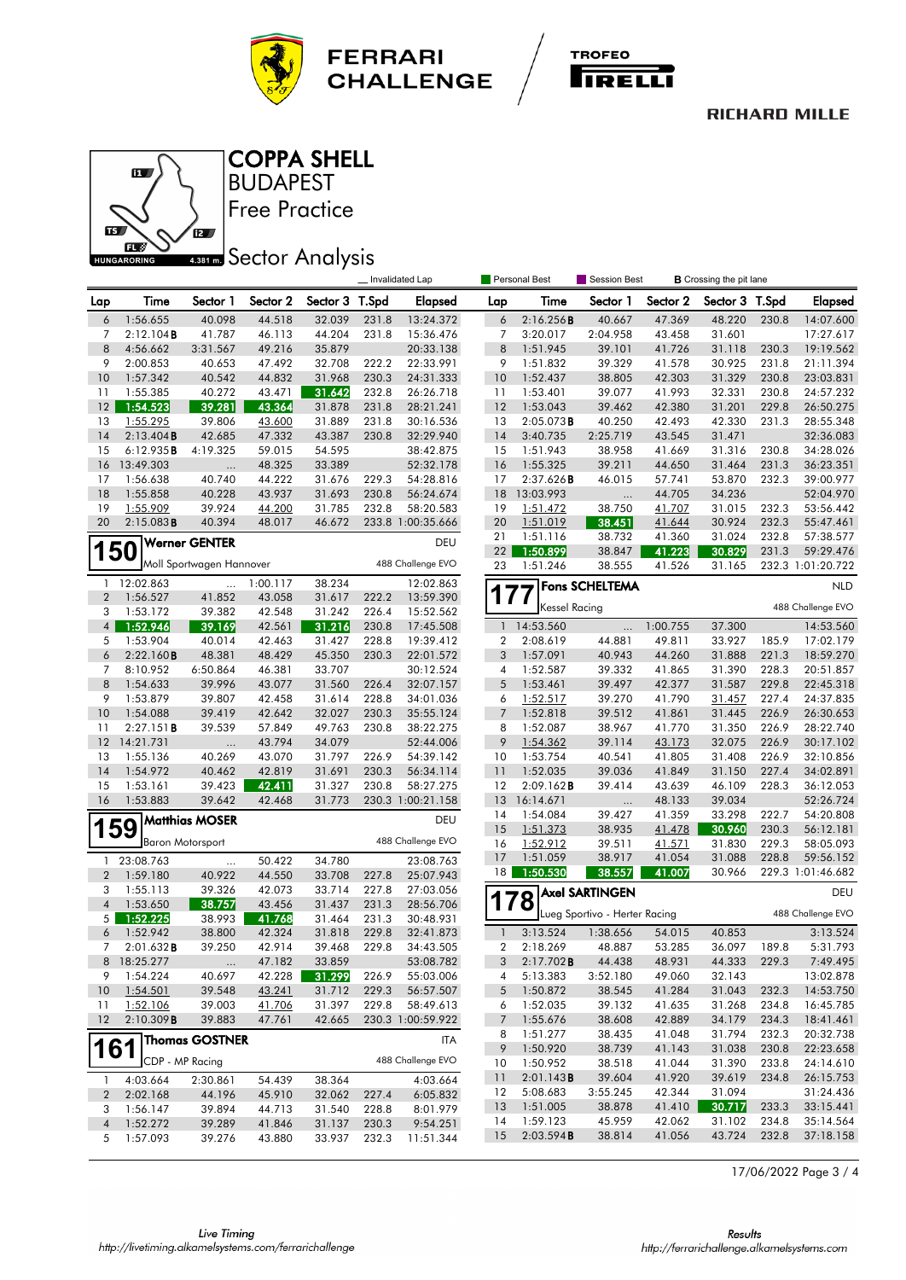





Free Practice **BUDAPEST** 

COPPA SHELL

### **4.381 m.** Sector Analysis

| Sector 3 T.Spd<br>Sector 1<br>Sector 2<br>Sector 2<br>Sector 3 T.Spd<br>Time<br>Elapsed<br>Time<br>Sector 1<br><b>Elapsed</b><br>Lap<br>Lap<br>1:56.655<br>40.098<br>32.039<br>2:16.256B<br>47.369<br>14:07.600<br>6<br>44.518<br>231.8<br>13:24.372<br>6<br>40.667<br>48.220<br>230.8<br>2:12.104B<br>41.787<br>44.204<br>231.8<br>7<br>3:20.017<br>2:04.958<br>43.458<br>17:27.617<br>7<br>46.113<br>15:36.476<br>31.601<br>8<br>4:56.662<br>3:31.567<br>49.216<br>35.879<br>8<br>1:51.945<br>41.726<br>19:19.562<br>20:33.138<br>39.101<br>31.118<br>230.3<br>9<br>2:00.853<br>222.2<br>9<br>1:51.832<br>39.329<br>30.925<br>231.8<br>40.653<br>47.492<br>32.708<br>22:33.991<br>41.578<br>21:11.394<br>10<br>1:57.342<br>40.542<br>44.832<br>31.968<br>230.3<br>1:52.437<br>38.805<br>42.303<br>31.329<br>230.8<br>23:03.831<br>24:31.333<br>10<br>1:55.385<br>31.642<br>232.8<br>1:53.401<br>39.077<br>41.993<br>32.331<br>230.8<br>24:57.232<br>11<br>40.272<br>43.471<br>26:26.718<br>11<br>12<br>1:54.523<br>39.281<br>43.364<br>31.878<br>231.8<br>12<br>1:53.043<br>39.462<br>42.380<br>31.201<br>229.8<br>26:50.275<br>28:21.241<br>39.806<br>13<br>42.330<br>13<br>1:55.295<br>43.600<br>31.889<br>231.8<br>30:16.536<br>$2:05.073$ B<br>40.250<br>42.493<br>231.3<br>28:55.348<br>14<br>2:13.404B<br>42.685<br>43.387<br>230.8<br>14<br>2:25.719<br>43.545<br>31.471<br>32:36.083<br>47.332<br>32:29.940<br>3:40.735<br>6:12.935B<br>4:19.325<br>59.015<br>54.595<br>15<br>1:51.943<br>38.958<br>31.316<br>230.8<br>34:28.026<br>15<br>38:42.875<br>41.669<br>16<br>13:49.303<br>48.325<br>33.389<br>16<br>1:55.325<br>39.211<br>231.3<br>52:32.178<br>44.650<br>31.464<br>36:23.351<br><br>40.740<br>44.222<br>229.3<br>17<br>2:37.626B<br>53.870<br>39:00.977<br>17<br>1:56.638<br>31.676<br>54:28.816<br>46.015<br>57.741<br>232.3<br>18<br>40.228<br>43.937<br>31.693<br>18<br>13:03.993<br>34.236<br>1:55.858<br>230.8<br>56:24.674<br>44.705<br>52:04.970<br>$\ldots$<br>19<br>1:55.909<br>39.924<br>44.200<br>31.785<br>232.8<br>58:20.583<br>19<br>1:51.472<br>38.750<br>41.707<br>31.015<br>232.3<br>53:56.442<br>38.451<br>20<br>2:15.083B<br>40.394<br>46.672<br>20<br>1:51.019<br>41.644<br>30.924<br>232.3<br>55:47.461<br>48.017<br>233.8 1:00:35.666<br>21<br>1:51.116<br>38.732<br>41.360<br>232.8<br>57:38.577<br>31.024<br><b>Werner GENTER</b><br>DEU<br><b>150</b><br>22<br>1:50.899<br>38.847<br>231.3<br>41.223<br>30.829<br>59:29.476<br>488 Challenge EVO<br>Moll Sportwagen Hannover<br>23<br>1:51.246<br>38.555<br>41.526<br>31.165<br>232.3 1:01:20.722<br>12:02.863<br>1:00.117<br>38.234<br>12:02.863<br>$\mathbf{1}$<br><b>Fons SCHELTEMA</b><br>$\ddotsc$<br><b>NLD</b><br>7<br>1:56.527<br>222.2<br>$\overline{2}$<br>41.852<br>43.058<br>31.617<br>13:59.390<br>488 Challenge EVO<br><b>Kessel Racing</b><br>3<br>1:53.172<br>39.382<br>42.548<br>31.242<br>226.4<br>15:52.562<br>31.216<br>14:53.560<br>37.300<br>$\overline{4}$<br>1:52.946<br>39.169<br>42.561<br>230.8<br>1:00.755<br>17:45.508<br>14:53.560<br>$\mathbf{1}$<br><br>1:53.904<br>40.014<br>2:08.619<br>44.881<br>17:02.179<br>5<br>42.463<br>31.427<br>228.8<br>19:39.412<br>2<br>49.811<br>33.927<br>185.9<br>6<br>2:22.160B<br>48.381<br>48.429<br>45.350<br>230.3<br>3<br>1:57.091<br>40.943<br>44.260<br>31.888<br>221.3<br>18:59.270<br>22:01.572<br>8:10.952<br>33.707<br>1:52.587<br>39.332<br>20:51.857<br>7<br>6:50.864<br>46.381<br>30:12.524<br>4<br>41.865<br>31.390<br>228.3<br>1:54.633<br>39.996<br>43.077<br>5<br>1:53.461<br>229.8<br>8<br>31.560<br>226.4<br>32:07.157<br>39.497<br>42.377<br>31.587<br>22:45.318<br>9<br>1:53.879<br>39.807<br>31.614<br>228.8<br>6<br>1:52.517<br>39.270<br>41.790<br>227.4<br>24:37.835<br>42.458<br>34:01.036<br>31.457<br>39.419<br>42.642<br>32.027<br>$\overline{7}$<br>39.512<br>226.9<br>26:30.653<br>10<br>1:54.088<br>230.3<br>35:55.124<br>1:52.818<br>41.861<br>31.445<br>49.763<br>230.8<br>1:52.087<br>11<br>2:27.151B<br>39.539<br>57.849<br>38:22.275<br>8<br>38.967<br>41.770<br>31.350<br>226.9<br>28:22.740<br>12<br>14:21.731<br>43.794<br>34.079<br>52:44.006<br>9<br>1:54.362<br>39.114<br>43.173<br>32.075<br>226.9<br>30:17.102<br>$\cdots$<br>13<br>40.269<br>43.070<br>226.9<br>10<br>1:53.754<br>32:10.856<br>1:55.136<br>31.797<br>54:39.142<br>40.541<br>41.805<br>31.408<br>226.9<br>14<br>1:54.972<br>31.691<br>1:52.035<br>34:02.891<br>40.462<br>42.819<br>230.3<br>56:34.114<br>11<br>39.036<br>41.849<br>31.150<br>227.4<br>15<br>42.411<br>31.327<br>230.8<br>12<br>2:09.162B<br>43.639<br>46.109<br>228.3<br>36:12.053<br>1:53.161<br>39.423<br>58:27.275<br>39.414<br>16<br>1:53.883<br>39.642<br>31.773<br>42.468<br>230.3 1:00:21.158<br>13<br>16:14.671<br>48.133<br>39.034<br>52:26.724<br><br>1:54.084<br>54:20.808<br>14<br>39.427<br>41.359<br>33.298<br>222.7<br><b>Matthias MOSER</b><br>DEU<br>159<br>30.960<br>15<br>1:51.373<br>38.935<br>41.478<br>230.3<br>56:12.181<br>488 Challenge EVO<br><b>Baron Motorsport</b><br>16<br>1:52.912<br>39.511<br>41.571<br>31.830<br>229.3<br>58:05.093<br>228.8<br>17<br>1:51.059<br>38.917<br>41.054<br>31.088<br>59:56.152<br>23:08.763<br>23:08.763<br>50.422<br>34.780<br>1.<br>$\cdots$<br>38.557<br>18<br>1:50.530<br>41.007<br>30.966<br>229.3 1:01:46.682<br>$\overline{2}$<br>1:59.180<br>40.922<br>44.550<br>33.708<br>227.8<br>25:07.943<br>39.326<br>3<br>1:55.113<br>42.073<br>33.714<br>227.8<br>27:03.056<br><b>Axel SARTINGEN</b><br>DEU<br>78<br>4<br>1:53.650<br>38.757<br>43.456<br>31.437<br>231.3<br>28:56.706<br>488 Challenge EVO<br>Lueg Sportivo - Herter Racing<br>1:52.225<br>5<br>38.993<br>41.768<br>231.3<br>31.464<br>30:48.931<br>1:52.942<br>31.818<br>229.8<br>3:13.524<br>1:38.656<br>40.853<br>3:13.524<br>6<br>38.800<br>42.324<br>32:41.873<br>$\mathbf{1}$<br>54.015<br>42.914<br>229.8<br>$\overline{\mathbf{2}}$<br>53.285<br>36.097<br>189.8<br>7<br>2:01.632B<br>39.250<br>39.468<br>34:43.505<br>2:18.269<br>48.887<br>5:31.793<br>8 18:25.277<br>44.438<br>47.182<br>33.859<br>53:08.782<br>2:17.702B<br>48.931<br>44.333<br>7:49.495<br>3<br>229.3<br>$\cdots$<br>9<br>1:54.224<br>40.697<br>42.228<br>31.299<br>226.9<br>55:03.006<br>5:13.383<br>3:52.180<br>49.060<br>32.143<br>13:02.878<br>4<br>10<br>1:54.501<br>39.548<br>43.241<br>31.712<br>229.3<br>5<br>1:50.872<br>38.545<br>41.284<br>31.043<br>232.3<br>14:53.750<br>56:57.507<br>1:52.106<br>39.003<br>31.397<br>229.8<br>1:52.035<br>39.132<br>41.635<br>31.268<br>234.8<br>16:45.785<br>11<br>41.706<br>58:49.613<br>6<br>12<br>42.665<br>1:55.676<br>2:10.309B<br>39.883<br>47.761<br>230.3 1:00:59.922<br>7<br>38.608<br>42.889<br>34.179<br>234.3<br>18:41.461<br>8<br>1:51.277<br>38.435<br>41.048<br>31.794<br>232.3<br>20:32.738<br><b>Thomas GOSTNER</b><br><b>ITA</b><br>161<br>1:50.920<br>9<br>38.739<br>41.143<br>31.038<br>230.8<br>22:23.658<br>CDP - MP Racing<br>488 Challenge EVO<br>1:50.952<br>38.518<br>41.044<br>31.390<br>233.8<br>24:14.610<br>10<br>2:01.143B<br>39.604<br>41.920<br>39.619<br>234.8<br>26:15.753<br>11<br>4:03.664<br>4:03.664<br>54.439<br>38.364<br>2:30.861<br>$\mathbf{1}$<br>5:08.683<br>3:55.245<br>42.344<br>31.094<br>31:24.436<br>12<br>$\overline{2}$<br>2:02.168<br>44.196<br>45.910<br>32.062<br>227.4<br>6:05.832<br>33:15.441<br>1:51.005<br>38.878<br>41.410<br>30.717<br>233.3<br>- 13<br>8:01.979<br>1:56.147<br>39.894<br>44.713<br>31.540<br>228.8<br>3<br>1:59.123<br>45.959<br>42.062<br>234.8<br>35:14.564<br>14<br>31.102<br>1:52.272<br>39.289<br>9:54.251<br>$\overline{4}$<br>41.846<br>31.137<br>230.3<br>232.8<br>15<br>2:03.594B<br>38.814<br>41.056<br>43.724<br>37:18.158<br>232.3<br>5<br>1:57.093<br>39.276<br>43.880<br>33.937<br>11:51.344 |  |  |  | Invalidated Lap | Personal Best | Session Best<br><b>B</b> Crossing the pit lane |  |  |  |  |
|--------------------------------------------------------------------------------------------------------------------------------------------------------------------------------------------------------------------------------------------------------------------------------------------------------------------------------------------------------------------------------------------------------------------------------------------------------------------------------------------------------------------------------------------------------------------------------------------------------------------------------------------------------------------------------------------------------------------------------------------------------------------------------------------------------------------------------------------------------------------------------------------------------------------------------------------------------------------------------------------------------------------------------------------------------------------------------------------------------------------------------------------------------------------------------------------------------------------------------------------------------------------------------------------------------------------------------------------------------------------------------------------------------------------------------------------------------------------------------------------------------------------------------------------------------------------------------------------------------------------------------------------------------------------------------------------------------------------------------------------------------------------------------------------------------------------------------------------------------------------------------------------------------------------------------------------------------------------------------------------------------------------------------------------------------------------------------------------------------------------------------------------------------------------------------------------------------------------------------------------------------------------------------------------------------------------------------------------------------------------------------------------------------------------------------------------------------------------------------------------------------------------------------------------------------------------------------------------------------------------------------------------------------------------------------------------------------------------------------------------------------------------------------------------------------------------------------------------------------------------------------------------------------------------------------------------------------------------------------------------------------------------------------------------------------------------------------------------------------------------------------------------------------------------------------------------------------------------------------------------------------------------------------------------------------------------------------------------------------------------------------------------------------------------------------------------------------------------------------------------------------------------------------------------------------------------------------------------------------------------------------------------------------------------------------------------------------------------------------------------------------------------------------------------------------------------------------------------------------------------------------------------------------------------------------------------------------------------------------------------------------------------------------------------------------------------------------------------------------------------------------------------------------------------------------------------------------------------------------------------------------------------------------------------------------------------------------------------------------------------------------------------------------------------------------------------------------------------------------------------------------------------------------------------------------------------------------------------------------------------------------------------------------------------------------------------------------------------------------------------------------------------------------------------------------------------------------------------------------------------------------------------------------------------------------------------------------------------------------------------------------------------------------------------------------------------------------------------------------------------------------------------------------------------------------------------------------------------------------------------------------------------------------------------------------------------------------------------------------------------------------------------------------------------------------------------------------------------------------------------------------------------------------------------------------------------------------------------------------------------------------------------------------------------------------------------------------------------------------------------------------------------------------------------------------------------------------------------------------------------------------------------------------------------------------------------------------------------------------------------------------------------------------------------------------------------------------------------------------------------------------------------------------------------------------------------------------------------------------------------------------------------------------------------------------------------------------------------------------------------------------------------------------------------------------------------------------------------------------------------------------------------------------------------------------------------------------------------------------------------------------------------------------------------------------------------------------------------------------------------------------------------------------------------------------------------------------------------------------------------------------------------------------------------------------------------------------------------------------------------------------------------------------------------------------------------------------------------------------------------------------------------------------------------------------------------------------------------------------------------------------------------------------------------------------------------------------------------------------------------------------------------------------------------------------------------------------------------------------------------------------------------------------------------------------------------------------------------------------------------------------------------------------------------------------------------------------------------------------------------------------------------------------------------------|--|--|--|-----------------|---------------|------------------------------------------------|--|--|--|--|
|                                                                                                                                                                                                                                                                                                                                                                                                                                                                                                                                                                                                                                                                                                                                                                                                                                                                                                                                                                                                                                                                                                                                                                                                                                                                                                                                                                                                                                                                                                                                                                                                                                                                                                                                                                                                                                                                                                                                                                                                                                                                                                                                                                                                                                                                                                                                                                                                                                                                                                                                                                                                                                                                                                                                                                                                                                                                                                                                                                                                                                                                                                                                                                                                                                                                                                                                                                                                                                                                                                                                                                                                                                                                                                                                                                                                                                                                                                                                                                                                                                                                                                                                                                                                                                                                                                                                                                                                                                                                                                                                                                                                                                                                                                                                                                                                                                                                                                                                                                                                                                                                                                                                                                                                                                                                                                                                                                                                                                                                                                                                                                                                                                                                                                                                                                                                                                                                                                                                                                                                                                                                                                                                                                                                                                                                                                                                                                                                                                                                                                                                                                                                                                                                                                                                                                                                                                                                                                                                                                                                                                                                                                                                                                                                                                                                                                                                                                                                                                                                                                                                                                                                                                                                                                                                                                                                  |  |  |  |                 |               |                                                |  |  |  |  |
|                                                                                                                                                                                                                                                                                                                                                                                                                                                                                                                                                                                                                                                                                                                                                                                                                                                                                                                                                                                                                                                                                                                                                                                                                                                                                                                                                                                                                                                                                                                                                                                                                                                                                                                                                                                                                                                                                                                                                                                                                                                                                                                                                                                                                                                                                                                                                                                                                                                                                                                                                                                                                                                                                                                                                                                                                                                                                                                                                                                                                                                                                                                                                                                                                                                                                                                                                                                                                                                                                                                                                                                                                                                                                                                                                                                                                                                                                                                                                                                                                                                                                                                                                                                                                                                                                                                                                                                                                                                                                                                                                                                                                                                                                                                                                                                                                                                                                                                                                                                                                                                                                                                                                                                                                                                                                                                                                                                                                                                                                                                                                                                                                                                                                                                                                                                                                                                                                                                                                                                                                                                                                                                                                                                                                                                                                                                                                                                                                                                                                                                                                                                                                                                                                                                                                                                                                                                                                                                                                                                                                                                                                                                                                                                                                                                                                                                                                                                                                                                                                                                                                                                                                                                                                                                                                                                                  |  |  |  |                 |               |                                                |  |  |  |  |
|                                                                                                                                                                                                                                                                                                                                                                                                                                                                                                                                                                                                                                                                                                                                                                                                                                                                                                                                                                                                                                                                                                                                                                                                                                                                                                                                                                                                                                                                                                                                                                                                                                                                                                                                                                                                                                                                                                                                                                                                                                                                                                                                                                                                                                                                                                                                                                                                                                                                                                                                                                                                                                                                                                                                                                                                                                                                                                                                                                                                                                                                                                                                                                                                                                                                                                                                                                                                                                                                                                                                                                                                                                                                                                                                                                                                                                                                                                                                                                                                                                                                                                                                                                                                                                                                                                                                                                                                                                                                                                                                                                                                                                                                                                                                                                                                                                                                                                                                                                                                                                                                                                                                                                                                                                                                                                                                                                                                                                                                                                                                                                                                                                                                                                                                                                                                                                                                                                                                                                                                                                                                                                                                                                                                                                                                                                                                                                                                                                                                                                                                                                                                                                                                                                                                                                                                                                                                                                                                                                                                                                                                                                                                                                                                                                                                                                                                                                                                                                                                                                                                                                                                                                                                                                                                                                                                  |  |  |  |                 |               |                                                |  |  |  |  |
|                                                                                                                                                                                                                                                                                                                                                                                                                                                                                                                                                                                                                                                                                                                                                                                                                                                                                                                                                                                                                                                                                                                                                                                                                                                                                                                                                                                                                                                                                                                                                                                                                                                                                                                                                                                                                                                                                                                                                                                                                                                                                                                                                                                                                                                                                                                                                                                                                                                                                                                                                                                                                                                                                                                                                                                                                                                                                                                                                                                                                                                                                                                                                                                                                                                                                                                                                                                                                                                                                                                                                                                                                                                                                                                                                                                                                                                                                                                                                                                                                                                                                                                                                                                                                                                                                                                                                                                                                                                                                                                                                                                                                                                                                                                                                                                                                                                                                                                                                                                                                                                                                                                                                                                                                                                                                                                                                                                                                                                                                                                                                                                                                                                                                                                                                                                                                                                                                                                                                                                                                                                                                                                                                                                                                                                                                                                                                                                                                                                                                                                                                                                                                                                                                                                                                                                                                                                                                                                                                                                                                                                                                                                                                                                                                                                                                                                                                                                                                                                                                                                                                                                                                                                                                                                                                                                                  |  |  |  |                 |               |                                                |  |  |  |  |
|                                                                                                                                                                                                                                                                                                                                                                                                                                                                                                                                                                                                                                                                                                                                                                                                                                                                                                                                                                                                                                                                                                                                                                                                                                                                                                                                                                                                                                                                                                                                                                                                                                                                                                                                                                                                                                                                                                                                                                                                                                                                                                                                                                                                                                                                                                                                                                                                                                                                                                                                                                                                                                                                                                                                                                                                                                                                                                                                                                                                                                                                                                                                                                                                                                                                                                                                                                                                                                                                                                                                                                                                                                                                                                                                                                                                                                                                                                                                                                                                                                                                                                                                                                                                                                                                                                                                                                                                                                                                                                                                                                                                                                                                                                                                                                                                                                                                                                                                                                                                                                                                                                                                                                                                                                                                                                                                                                                                                                                                                                                                                                                                                                                                                                                                                                                                                                                                                                                                                                                                                                                                                                                                                                                                                                                                                                                                                                                                                                                                                                                                                                                                                                                                                                                                                                                                                                                                                                                                                                                                                                                                                                                                                                                                                                                                                                                                                                                                                                                                                                                                                                                                                                                                                                                                                                                                  |  |  |  |                 |               |                                                |  |  |  |  |
|                                                                                                                                                                                                                                                                                                                                                                                                                                                                                                                                                                                                                                                                                                                                                                                                                                                                                                                                                                                                                                                                                                                                                                                                                                                                                                                                                                                                                                                                                                                                                                                                                                                                                                                                                                                                                                                                                                                                                                                                                                                                                                                                                                                                                                                                                                                                                                                                                                                                                                                                                                                                                                                                                                                                                                                                                                                                                                                                                                                                                                                                                                                                                                                                                                                                                                                                                                                                                                                                                                                                                                                                                                                                                                                                                                                                                                                                                                                                                                                                                                                                                                                                                                                                                                                                                                                                                                                                                                                                                                                                                                                                                                                                                                                                                                                                                                                                                                                                                                                                                                                                                                                                                                                                                                                                                                                                                                                                                                                                                                                                                                                                                                                                                                                                                                                                                                                                                                                                                                                                                                                                                                                                                                                                                                                                                                                                                                                                                                                                                                                                                                                                                                                                                                                                                                                                                                                                                                                                                                                                                                                                                                                                                                                                                                                                                                                                                                                                                                                                                                                                                                                                                                                                                                                                                                                                  |  |  |  |                 |               |                                                |  |  |  |  |
|                                                                                                                                                                                                                                                                                                                                                                                                                                                                                                                                                                                                                                                                                                                                                                                                                                                                                                                                                                                                                                                                                                                                                                                                                                                                                                                                                                                                                                                                                                                                                                                                                                                                                                                                                                                                                                                                                                                                                                                                                                                                                                                                                                                                                                                                                                                                                                                                                                                                                                                                                                                                                                                                                                                                                                                                                                                                                                                                                                                                                                                                                                                                                                                                                                                                                                                                                                                                                                                                                                                                                                                                                                                                                                                                                                                                                                                                                                                                                                                                                                                                                                                                                                                                                                                                                                                                                                                                                                                                                                                                                                                                                                                                                                                                                                                                                                                                                                                                                                                                                                                                                                                                                                                                                                                                                                                                                                                                                                                                                                                                                                                                                                                                                                                                                                                                                                                                                                                                                                                                                                                                                                                                                                                                                                                                                                                                                                                                                                                                                                                                                                                                                                                                                                                                                                                                                                                                                                                                                                                                                                                                                                                                                                                                                                                                                                                                                                                                                                                                                                                                                                                                                                                                                                                                                                                                  |  |  |  |                 |               |                                                |  |  |  |  |
|                                                                                                                                                                                                                                                                                                                                                                                                                                                                                                                                                                                                                                                                                                                                                                                                                                                                                                                                                                                                                                                                                                                                                                                                                                                                                                                                                                                                                                                                                                                                                                                                                                                                                                                                                                                                                                                                                                                                                                                                                                                                                                                                                                                                                                                                                                                                                                                                                                                                                                                                                                                                                                                                                                                                                                                                                                                                                                                                                                                                                                                                                                                                                                                                                                                                                                                                                                                                                                                                                                                                                                                                                                                                                                                                                                                                                                                                                                                                                                                                                                                                                                                                                                                                                                                                                                                                                                                                                                                                                                                                                                                                                                                                                                                                                                                                                                                                                                                                                                                                                                                                                                                                                                                                                                                                                                                                                                                                                                                                                                                                                                                                                                                                                                                                                                                                                                                                                                                                                                                                                                                                                                                                                                                                                                                                                                                                                                                                                                                                                                                                                                                                                                                                                                                                                                                                                                                                                                                                                                                                                                                                                                                                                                                                                                                                                                                                                                                                                                                                                                                                                                                                                                                                                                                                                                                                  |  |  |  |                 |               |                                                |  |  |  |  |
|                                                                                                                                                                                                                                                                                                                                                                                                                                                                                                                                                                                                                                                                                                                                                                                                                                                                                                                                                                                                                                                                                                                                                                                                                                                                                                                                                                                                                                                                                                                                                                                                                                                                                                                                                                                                                                                                                                                                                                                                                                                                                                                                                                                                                                                                                                                                                                                                                                                                                                                                                                                                                                                                                                                                                                                                                                                                                                                                                                                                                                                                                                                                                                                                                                                                                                                                                                                                                                                                                                                                                                                                                                                                                                                                                                                                                                                                                                                                                                                                                                                                                                                                                                                                                                                                                                                                                                                                                                                                                                                                                                                                                                                                                                                                                                                                                                                                                                                                                                                                                                                                                                                                                                                                                                                                                                                                                                                                                                                                                                                                                                                                                                                                                                                                                                                                                                                                                                                                                                                                                                                                                                                                                                                                                                                                                                                                                                                                                                                                                                                                                                                                                                                                                                                                                                                                                                                                                                                                                                                                                                                                                                                                                                                                                                                                                                                                                                                                                                                                                                                                                                                                                                                                                                                                                                                                  |  |  |  |                 |               |                                                |  |  |  |  |
|                                                                                                                                                                                                                                                                                                                                                                                                                                                                                                                                                                                                                                                                                                                                                                                                                                                                                                                                                                                                                                                                                                                                                                                                                                                                                                                                                                                                                                                                                                                                                                                                                                                                                                                                                                                                                                                                                                                                                                                                                                                                                                                                                                                                                                                                                                                                                                                                                                                                                                                                                                                                                                                                                                                                                                                                                                                                                                                                                                                                                                                                                                                                                                                                                                                                                                                                                                                                                                                                                                                                                                                                                                                                                                                                                                                                                                                                                                                                                                                                                                                                                                                                                                                                                                                                                                                                                                                                                                                                                                                                                                                                                                                                                                                                                                                                                                                                                                                                                                                                                                                                                                                                                                                                                                                                                                                                                                                                                                                                                                                                                                                                                                                                                                                                                                                                                                                                                                                                                                                                                                                                                                                                                                                                                                                                                                                                                                                                                                                                                                                                                                                                                                                                                                                                                                                                                                                                                                                                                                                                                                                                                                                                                                                                                                                                                                                                                                                                                                                                                                                                                                                                                                                                                                                                                                                                  |  |  |  |                 |               |                                                |  |  |  |  |
|                                                                                                                                                                                                                                                                                                                                                                                                                                                                                                                                                                                                                                                                                                                                                                                                                                                                                                                                                                                                                                                                                                                                                                                                                                                                                                                                                                                                                                                                                                                                                                                                                                                                                                                                                                                                                                                                                                                                                                                                                                                                                                                                                                                                                                                                                                                                                                                                                                                                                                                                                                                                                                                                                                                                                                                                                                                                                                                                                                                                                                                                                                                                                                                                                                                                                                                                                                                                                                                                                                                                                                                                                                                                                                                                                                                                                                                                                                                                                                                                                                                                                                                                                                                                                                                                                                                                                                                                                                                                                                                                                                                                                                                                                                                                                                                                                                                                                                                                                                                                                                                                                                                                                                                                                                                                                                                                                                                                                                                                                                                                                                                                                                                                                                                                                                                                                                                                                                                                                                                                                                                                                                                                                                                                                                                                                                                                                                                                                                                                                                                                                                                                                                                                                                                                                                                                                                                                                                                                                                                                                                                                                                                                                                                                                                                                                                                                                                                                                                                                                                                                                                                                                                                                                                                                                                                                  |  |  |  |                 |               |                                                |  |  |  |  |
|                                                                                                                                                                                                                                                                                                                                                                                                                                                                                                                                                                                                                                                                                                                                                                                                                                                                                                                                                                                                                                                                                                                                                                                                                                                                                                                                                                                                                                                                                                                                                                                                                                                                                                                                                                                                                                                                                                                                                                                                                                                                                                                                                                                                                                                                                                                                                                                                                                                                                                                                                                                                                                                                                                                                                                                                                                                                                                                                                                                                                                                                                                                                                                                                                                                                                                                                                                                                                                                                                                                                                                                                                                                                                                                                                                                                                                                                                                                                                                                                                                                                                                                                                                                                                                                                                                                                                                                                                                                                                                                                                                                                                                                                                                                                                                                                                                                                                                                                                                                                                                                                                                                                                                                                                                                                                                                                                                                                                                                                                                                                                                                                                                                                                                                                                                                                                                                                                                                                                                                                                                                                                                                                                                                                                                                                                                                                                                                                                                                                                                                                                                                                                                                                                                                                                                                                                                                                                                                                                                                                                                                                                                                                                                                                                                                                                                                                                                                                                                                                                                                                                                                                                                                                                                                                                                                                  |  |  |  |                 |               |                                                |  |  |  |  |
|                                                                                                                                                                                                                                                                                                                                                                                                                                                                                                                                                                                                                                                                                                                                                                                                                                                                                                                                                                                                                                                                                                                                                                                                                                                                                                                                                                                                                                                                                                                                                                                                                                                                                                                                                                                                                                                                                                                                                                                                                                                                                                                                                                                                                                                                                                                                                                                                                                                                                                                                                                                                                                                                                                                                                                                                                                                                                                                                                                                                                                                                                                                                                                                                                                                                                                                                                                                                                                                                                                                                                                                                                                                                                                                                                                                                                                                                                                                                                                                                                                                                                                                                                                                                                                                                                                                                                                                                                                                                                                                                                                                                                                                                                                                                                                                                                                                                                                                                                                                                                                                                                                                                                                                                                                                                                                                                                                                                                                                                                                                                                                                                                                                                                                                                                                                                                                                                                                                                                                                                                                                                                                                                                                                                                                                                                                                                                                                                                                                                                                                                                                                                                                                                                                                                                                                                                                                                                                                                                                                                                                                                                                                                                                                                                                                                                                                                                                                                                                                                                                                                                                                                                                                                                                                                                                                                  |  |  |  |                 |               |                                                |  |  |  |  |
|                                                                                                                                                                                                                                                                                                                                                                                                                                                                                                                                                                                                                                                                                                                                                                                                                                                                                                                                                                                                                                                                                                                                                                                                                                                                                                                                                                                                                                                                                                                                                                                                                                                                                                                                                                                                                                                                                                                                                                                                                                                                                                                                                                                                                                                                                                                                                                                                                                                                                                                                                                                                                                                                                                                                                                                                                                                                                                                                                                                                                                                                                                                                                                                                                                                                                                                                                                                                                                                                                                                                                                                                                                                                                                                                                                                                                                                                                                                                                                                                                                                                                                                                                                                                                                                                                                                                                                                                                                                                                                                                                                                                                                                                                                                                                                                                                                                                                                                                                                                                                                                                                                                                                                                                                                                                                                                                                                                                                                                                                                                                                                                                                                                                                                                                                                                                                                                                                                                                                                                                                                                                                                                                                                                                                                                                                                                                                                                                                                                                                                                                                                                                                                                                                                                                                                                                                                                                                                                                                                                                                                                                                                                                                                                                                                                                                                                                                                                                                                                                                                                                                                                                                                                                                                                                                                                                  |  |  |  |                 |               |                                                |  |  |  |  |
|                                                                                                                                                                                                                                                                                                                                                                                                                                                                                                                                                                                                                                                                                                                                                                                                                                                                                                                                                                                                                                                                                                                                                                                                                                                                                                                                                                                                                                                                                                                                                                                                                                                                                                                                                                                                                                                                                                                                                                                                                                                                                                                                                                                                                                                                                                                                                                                                                                                                                                                                                                                                                                                                                                                                                                                                                                                                                                                                                                                                                                                                                                                                                                                                                                                                                                                                                                                                                                                                                                                                                                                                                                                                                                                                                                                                                                                                                                                                                                                                                                                                                                                                                                                                                                                                                                                                                                                                                                                                                                                                                                                                                                                                                                                                                                                                                                                                                                                                                                                                                                                                                                                                                                                                                                                                                                                                                                                                                                                                                                                                                                                                                                                                                                                                                                                                                                                                                                                                                                                                                                                                                                                                                                                                                                                                                                                                                                                                                                                                                                                                                                                                                                                                                                                                                                                                                                                                                                                                                                                                                                                                                                                                                                                                                                                                                                                                                                                                                                                                                                                                                                                                                                                                                                                                                                                                  |  |  |  |                 |               |                                                |  |  |  |  |
|                                                                                                                                                                                                                                                                                                                                                                                                                                                                                                                                                                                                                                                                                                                                                                                                                                                                                                                                                                                                                                                                                                                                                                                                                                                                                                                                                                                                                                                                                                                                                                                                                                                                                                                                                                                                                                                                                                                                                                                                                                                                                                                                                                                                                                                                                                                                                                                                                                                                                                                                                                                                                                                                                                                                                                                                                                                                                                                                                                                                                                                                                                                                                                                                                                                                                                                                                                                                                                                                                                                                                                                                                                                                                                                                                                                                                                                                                                                                                                                                                                                                                                                                                                                                                                                                                                                                                                                                                                                                                                                                                                                                                                                                                                                                                                                                                                                                                                                                                                                                                                                                                                                                                                                                                                                                                                                                                                                                                                                                                                                                                                                                                                                                                                                                                                                                                                                                                                                                                                                                                                                                                                                                                                                                                                                                                                                                                                                                                                                                                                                                                                                                                                                                                                                                                                                                                                                                                                                                                                                                                                                                                                                                                                                                                                                                                                                                                                                                                                                                                                                                                                                                                                                                                                                                                                                                  |  |  |  |                 |               |                                                |  |  |  |  |
|                                                                                                                                                                                                                                                                                                                                                                                                                                                                                                                                                                                                                                                                                                                                                                                                                                                                                                                                                                                                                                                                                                                                                                                                                                                                                                                                                                                                                                                                                                                                                                                                                                                                                                                                                                                                                                                                                                                                                                                                                                                                                                                                                                                                                                                                                                                                                                                                                                                                                                                                                                                                                                                                                                                                                                                                                                                                                                                                                                                                                                                                                                                                                                                                                                                                                                                                                                                                                                                                                                                                                                                                                                                                                                                                                                                                                                                                                                                                                                                                                                                                                                                                                                                                                                                                                                                                                                                                                                                                                                                                                                                                                                                                                                                                                                                                                                                                                                                                                                                                                                                                                                                                                                                                                                                                                                                                                                                                                                                                                                                                                                                                                                                                                                                                                                                                                                                                                                                                                                                                                                                                                                                                                                                                                                                                                                                                                                                                                                                                                                                                                                                                                                                                                                                                                                                                                                                                                                                                                                                                                                                                                                                                                                                                                                                                                                                                                                                                                                                                                                                                                                                                                                                                                                                                                                                                  |  |  |  |                 |               |                                                |  |  |  |  |
|                                                                                                                                                                                                                                                                                                                                                                                                                                                                                                                                                                                                                                                                                                                                                                                                                                                                                                                                                                                                                                                                                                                                                                                                                                                                                                                                                                                                                                                                                                                                                                                                                                                                                                                                                                                                                                                                                                                                                                                                                                                                                                                                                                                                                                                                                                                                                                                                                                                                                                                                                                                                                                                                                                                                                                                                                                                                                                                                                                                                                                                                                                                                                                                                                                                                                                                                                                                                                                                                                                                                                                                                                                                                                                                                                                                                                                                                                                                                                                                                                                                                                                                                                                                                                                                                                                                                                                                                                                                                                                                                                                                                                                                                                                                                                                                                                                                                                                                                                                                                                                                                                                                                                                                                                                                                                                                                                                                                                                                                                                                                                                                                                                                                                                                                                                                                                                                                                                                                                                                                                                                                                                                                                                                                                                                                                                                                                                                                                                                                                                                                                                                                                                                                                                                                                                                                                                                                                                                                                                                                                                                                                                                                                                                                                                                                                                                                                                                                                                                                                                                                                                                                                                                                                                                                                                                                  |  |  |  |                 |               |                                                |  |  |  |  |
|                                                                                                                                                                                                                                                                                                                                                                                                                                                                                                                                                                                                                                                                                                                                                                                                                                                                                                                                                                                                                                                                                                                                                                                                                                                                                                                                                                                                                                                                                                                                                                                                                                                                                                                                                                                                                                                                                                                                                                                                                                                                                                                                                                                                                                                                                                                                                                                                                                                                                                                                                                                                                                                                                                                                                                                                                                                                                                                                                                                                                                                                                                                                                                                                                                                                                                                                                                                                                                                                                                                                                                                                                                                                                                                                                                                                                                                                                                                                                                                                                                                                                                                                                                                                                                                                                                                                                                                                                                                                                                                                                                                                                                                                                                                                                                                                                                                                                                                                                                                                                                                                                                                                                                                                                                                                                                                                                                                                                                                                                                                                                                                                                                                                                                                                                                                                                                                                                                                                                                                                                                                                                                                                                                                                                                                                                                                                                                                                                                                                                                                                                                                                                                                                                                                                                                                                                                                                                                                                                                                                                                                                                                                                                                                                                                                                                                                                                                                                                                                                                                                                                                                                                                                                                                                                                                                                  |  |  |  |                 |               |                                                |  |  |  |  |
|                                                                                                                                                                                                                                                                                                                                                                                                                                                                                                                                                                                                                                                                                                                                                                                                                                                                                                                                                                                                                                                                                                                                                                                                                                                                                                                                                                                                                                                                                                                                                                                                                                                                                                                                                                                                                                                                                                                                                                                                                                                                                                                                                                                                                                                                                                                                                                                                                                                                                                                                                                                                                                                                                                                                                                                                                                                                                                                                                                                                                                                                                                                                                                                                                                                                                                                                                                                                                                                                                                                                                                                                                                                                                                                                                                                                                                                                                                                                                                                                                                                                                                                                                                                                                                                                                                                                                                                                                                                                                                                                                                                                                                                                                                                                                                                                                                                                                                                                                                                                                                                                                                                                                                                                                                                                                                                                                                                                                                                                                                                                                                                                                                                                                                                                                                                                                                                                                                                                                                                                                                                                                                                                                                                                                                                                                                                                                                                                                                                                                                                                                                                                                                                                                                                                                                                                                                                                                                                                                                                                                                                                                                                                                                                                                                                                                                                                                                                                                                                                                                                                                                                                                                                                                                                                                                                                  |  |  |  |                 |               |                                                |  |  |  |  |
|                                                                                                                                                                                                                                                                                                                                                                                                                                                                                                                                                                                                                                                                                                                                                                                                                                                                                                                                                                                                                                                                                                                                                                                                                                                                                                                                                                                                                                                                                                                                                                                                                                                                                                                                                                                                                                                                                                                                                                                                                                                                                                                                                                                                                                                                                                                                                                                                                                                                                                                                                                                                                                                                                                                                                                                                                                                                                                                                                                                                                                                                                                                                                                                                                                                                                                                                                                                                                                                                                                                                                                                                                                                                                                                                                                                                                                                                                                                                                                                                                                                                                                                                                                                                                                                                                                                                                                                                                                                                                                                                                                                                                                                                                                                                                                                                                                                                                                                                                                                                                                                                                                                                                                                                                                                                                                                                                                                                                                                                                                                                                                                                                                                                                                                                                                                                                                                                                                                                                                                                                                                                                                                                                                                                                                                                                                                                                                                                                                                                                                                                                                                                                                                                                                                                                                                                                                                                                                                                                                                                                                                                                                                                                                                                                                                                                                                                                                                                                                                                                                                                                                                                                                                                                                                                                                                                  |  |  |  |                 |               |                                                |  |  |  |  |
|                                                                                                                                                                                                                                                                                                                                                                                                                                                                                                                                                                                                                                                                                                                                                                                                                                                                                                                                                                                                                                                                                                                                                                                                                                                                                                                                                                                                                                                                                                                                                                                                                                                                                                                                                                                                                                                                                                                                                                                                                                                                                                                                                                                                                                                                                                                                                                                                                                                                                                                                                                                                                                                                                                                                                                                                                                                                                                                                                                                                                                                                                                                                                                                                                                                                                                                                                                                                                                                                                                                                                                                                                                                                                                                                                                                                                                                                                                                                                                                                                                                                                                                                                                                                                                                                                                                                                                                                                                                                                                                                                                                                                                                                                                                                                                                                                                                                                                                                                                                                                                                                                                                                                                                                                                                                                                                                                                                                                                                                                                                                                                                                                                                                                                                                                                                                                                                                                                                                                                                                                                                                                                                                                                                                                                                                                                                                                                                                                                                                                                                                                                                                                                                                                                                                                                                                                                                                                                                                                                                                                                                                                                                                                                                                                                                                                                                                                                                                                                                                                                                                                                                                                                                                                                                                                                                                  |  |  |  |                 |               |                                                |  |  |  |  |
|                                                                                                                                                                                                                                                                                                                                                                                                                                                                                                                                                                                                                                                                                                                                                                                                                                                                                                                                                                                                                                                                                                                                                                                                                                                                                                                                                                                                                                                                                                                                                                                                                                                                                                                                                                                                                                                                                                                                                                                                                                                                                                                                                                                                                                                                                                                                                                                                                                                                                                                                                                                                                                                                                                                                                                                                                                                                                                                                                                                                                                                                                                                                                                                                                                                                                                                                                                                                                                                                                                                                                                                                                                                                                                                                                                                                                                                                                                                                                                                                                                                                                                                                                                                                                                                                                                                                                                                                                                                                                                                                                                                                                                                                                                                                                                                                                                                                                                                                                                                                                                                                                                                                                                                                                                                                                                                                                                                                                                                                                                                                                                                                                                                                                                                                                                                                                                                                                                                                                                                                                                                                                                                                                                                                                                                                                                                                                                                                                                                                                                                                                                                                                                                                                                                                                                                                                                                                                                                                                                                                                                                                                                                                                                                                                                                                                                                                                                                                                                                                                                                                                                                                                                                                                                                                                                                                  |  |  |  |                 |               |                                                |  |  |  |  |
|                                                                                                                                                                                                                                                                                                                                                                                                                                                                                                                                                                                                                                                                                                                                                                                                                                                                                                                                                                                                                                                                                                                                                                                                                                                                                                                                                                                                                                                                                                                                                                                                                                                                                                                                                                                                                                                                                                                                                                                                                                                                                                                                                                                                                                                                                                                                                                                                                                                                                                                                                                                                                                                                                                                                                                                                                                                                                                                                                                                                                                                                                                                                                                                                                                                                                                                                                                                                                                                                                                                                                                                                                                                                                                                                                                                                                                                                                                                                                                                                                                                                                                                                                                                                                                                                                                                                                                                                                                                                                                                                                                                                                                                                                                                                                                                                                                                                                                                                                                                                                                                                                                                                                                                                                                                                                                                                                                                                                                                                                                                                                                                                                                                                                                                                                                                                                                                                                                                                                                                                                                                                                                                                                                                                                                                                                                                                                                                                                                                                                                                                                                                                                                                                                                                                                                                                                                                                                                                                                                                                                                                                                                                                                                                                                                                                                                                                                                                                                                                                                                                                                                                                                                                                                                                                                                                                  |  |  |  |                 |               |                                                |  |  |  |  |
|                                                                                                                                                                                                                                                                                                                                                                                                                                                                                                                                                                                                                                                                                                                                                                                                                                                                                                                                                                                                                                                                                                                                                                                                                                                                                                                                                                                                                                                                                                                                                                                                                                                                                                                                                                                                                                                                                                                                                                                                                                                                                                                                                                                                                                                                                                                                                                                                                                                                                                                                                                                                                                                                                                                                                                                                                                                                                                                                                                                                                                                                                                                                                                                                                                                                                                                                                                                                                                                                                                                                                                                                                                                                                                                                                                                                                                                                                                                                                                                                                                                                                                                                                                                                                                                                                                                                                                                                                                                                                                                                                                                                                                                                                                                                                                                                                                                                                                                                                                                                                                                                                                                                                                                                                                                                                                                                                                                                                                                                                                                                                                                                                                                                                                                                                                                                                                                                                                                                                                                                                                                                                                                                                                                                                                                                                                                                                                                                                                                                                                                                                                                                                                                                                                                                                                                                                                                                                                                                                                                                                                                                                                                                                                                                                                                                                                                                                                                                                                                                                                                                                                                                                                                                                                                                                                                                  |  |  |  |                 |               |                                                |  |  |  |  |
|                                                                                                                                                                                                                                                                                                                                                                                                                                                                                                                                                                                                                                                                                                                                                                                                                                                                                                                                                                                                                                                                                                                                                                                                                                                                                                                                                                                                                                                                                                                                                                                                                                                                                                                                                                                                                                                                                                                                                                                                                                                                                                                                                                                                                                                                                                                                                                                                                                                                                                                                                                                                                                                                                                                                                                                                                                                                                                                                                                                                                                                                                                                                                                                                                                                                                                                                                                                                                                                                                                                                                                                                                                                                                                                                                                                                                                                                                                                                                                                                                                                                                                                                                                                                                                                                                                                                                                                                                                                                                                                                                                                                                                                                                                                                                                                                                                                                                                                                                                                                                                                                                                                                                                                                                                                                                                                                                                                                                                                                                                                                                                                                                                                                                                                                                                                                                                                                                                                                                                                                                                                                                                                                                                                                                                                                                                                                                                                                                                                                                                                                                                                                                                                                                                                                                                                                                                                                                                                                                                                                                                                                                                                                                                                                                                                                                                                                                                                                                                                                                                                                                                                                                                                                                                                                                                                                  |  |  |  |                 |               |                                                |  |  |  |  |
|                                                                                                                                                                                                                                                                                                                                                                                                                                                                                                                                                                                                                                                                                                                                                                                                                                                                                                                                                                                                                                                                                                                                                                                                                                                                                                                                                                                                                                                                                                                                                                                                                                                                                                                                                                                                                                                                                                                                                                                                                                                                                                                                                                                                                                                                                                                                                                                                                                                                                                                                                                                                                                                                                                                                                                                                                                                                                                                                                                                                                                                                                                                                                                                                                                                                                                                                                                                                                                                                                                                                                                                                                                                                                                                                                                                                                                                                                                                                                                                                                                                                                                                                                                                                                                                                                                                                                                                                                                                                                                                                                                                                                                                                                                                                                                                                                                                                                                                                                                                                                                                                                                                                                                                                                                                                                                                                                                                                                                                                                                                                                                                                                                                                                                                                                                                                                                                                                                                                                                                                                                                                                                                                                                                                                                                                                                                                                                                                                                                                                                                                                                                                                                                                                                                                                                                                                                                                                                                                                                                                                                                                                                                                                                                                                                                                                                                                                                                                                                                                                                                                                                                                                                                                                                                                                                                                  |  |  |  |                 |               |                                                |  |  |  |  |
|                                                                                                                                                                                                                                                                                                                                                                                                                                                                                                                                                                                                                                                                                                                                                                                                                                                                                                                                                                                                                                                                                                                                                                                                                                                                                                                                                                                                                                                                                                                                                                                                                                                                                                                                                                                                                                                                                                                                                                                                                                                                                                                                                                                                                                                                                                                                                                                                                                                                                                                                                                                                                                                                                                                                                                                                                                                                                                                                                                                                                                                                                                                                                                                                                                                                                                                                                                                                                                                                                                                                                                                                                                                                                                                                                                                                                                                                                                                                                                                                                                                                                                                                                                                                                                                                                                                                                                                                                                                                                                                                                                                                                                                                                                                                                                                                                                                                                                                                                                                                                                                                                                                                                                                                                                                                                                                                                                                                                                                                                                                                                                                                                                                                                                                                                                                                                                                                                                                                                                                                                                                                                                                                                                                                                                                                                                                                                                                                                                                                                                                                                                                                                                                                                                                                                                                                                                                                                                                                                                                                                                                                                                                                                                                                                                                                                                                                                                                                                                                                                                                                                                                                                                                                                                                                                                                                  |  |  |  |                 |               |                                                |  |  |  |  |
|                                                                                                                                                                                                                                                                                                                                                                                                                                                                                                                                                                                                                                                                                                                                                                                                                                                                                                                                                                                                                                                                                                                                                                                                                                                                                                                                                                                                                                                                                                                                                                                                                                                                                                                                                                                                                                                                                                                                                                                                                                                                                                                                                                                                                                                                                                                                                                                                                                                                                                                                                                                                                                                                                                                                                                                                                                                                                                                                                                                                                                                                                                                                                                                                                                                                                                                                                                                                                                                                                                                                                                                                                                                                                                                                                                                                                                                                                                                                                                                                                                                                                                                                                                                                                                                                                                                                                                                                                                                                                                                                                                                                                                                                                                                                                                                                                                                                                                                                                                                                                                                                                                                                                                                                                                                                                                                                                                                                                                                                                                                                                                                                                                                                                                                                                                                                                                                                                                                                                                                                                                                                                                                                                                                                                                                                                                                                                                                                                                                                                                                                                                                                                                                                                                                                                                                                                                                                                                                                                                                                                                                                                                                                                                                                                                                                                                                                                                                                                                                                                                                                                                                                                                                                                                                                                                                                  |  |  |  |                 |               |                                                |  |  |  |  |
|                                                                                                                                                                                                                                                                                                                                                                                                                                                                                                                                                                                                                                                                                                                                                                                                                                                                                                                                                                                                                                                                                                                                                                                                                                                                                                                                                                                                                                                                                                                                                                                                                                                                                                                                                                                                                                                                                                                                                                                                                                                                                                                                                                                                                                                                                                                                                                                                                                                                                                                                                                                                                                                                                                                                                                                                                                                                                                                                                                                                                                                                                                                                                                                                                                                                                                                                                                                                                                                                                                                                                                                                                                                                                                                                                                                                                                                                                                                                                                                                                                                                                                                                                                                                                                                                                                                                                                                                                                                                                                                                                                                                                                                                                                                                                                                                                                                                                                                                                                                                                                                                                                                                                                                                                                                                                                                                                                                                                                                                                                                                                                                                                                                                                                                                                                                                                                                                                                                                                                                                                                                                                                                                                                                                                                                                                                                                                                                                                                                                                                                                                                                                                                                                                                                                                                                                                                                                                                                                                                                                                                                                                                                                                                                                                                                                                                                                                                                                                                                                                                                                                                                                                                                                                                                                                                                                  |  |  |  |                 |               |                                                |  |  |  |  |
|                                                                                                                                                                                                                                                                                                                                                                                                                                                                                                                                                                                                                                                                                                                                                                                                                                                                                                                                                                                                                                                                                                                                                                                                                                                                                                                                                                                                                                                                                                                                                                                                                                                                                                                                                                                                                                                                                                                                                                                                                                                                                                                                                                                                                                                                                                                                                                                                                                                                                                                                                                                                                                                                                                                                                                                                                                                                                                                                                                                                                                                                                                                                                                                                                                                                                                                                                                                                                                                                                                                                                                                                                                                                                                                                                                                                                                                                                                                                                                                                                                                                                                                                                                                                                                                                                                                                                                                                                                                                                                                                                                                                                                                                                                                                                                                                                                                                                                                                                                                                                                                                                                                                                                                                                                                                                                                                                                                                                                                                                                                                                                                                                                                                                                                                                                                                                                                                                                                                                                                                                                                                                                                                                                                                                                                                                                                                                                                                                                                                                                                                                                                                                                                                                                                                                                                                                                                                                                                                                                                                                                                                                                                                                                                                                                                                                                                                                                                                                                                                                                                                                                                                                                                                                                                                                                                                  |  |  |  |                 |               |                                                |  |  |  |  |
|                                                                                                                                                                                                                                                                                                                                                                                                                                                                                                                                                                                                                                                                                                                                                                                                                                                                                                                                                                                                                                                                                                                                                                                                                                                                                                                                                                                                                                                                                                                                                                                                                                                                                                                                                                                                                                                                                                                                                                                                                                                                                                                                                                                                                                                                                                                                                                                                                                                                                                                                                                                                                                                                                                                                                                                                                                                                                                                                                                                                                                                                                                                                                                                                                                                                                                                                                                                                                                                                                                                                                                                                                                                                                                                                                                                                                                                                                                                                                                                                                                                                                                                                                                                                                                                                                                                                                                                                                                                                                                                                                                                                                                                                                                                                                                                                                                                                                                                                                                                                                                                                                                                                                                                                                                                                                                                                                                                                                                                                                                                                                                                                                                                                                                                                                                                                                                                                                                                                                                                                                                                                                                                                                                                                                                                                                                                                                                                                                                                                                                                                                                                                                                                                                                                                                                                                                                                                                                                                                                                                                                                                                                                                                                                                                                                                                                                                                                                                                                                                                                                                                                                                                                                                                                                                                                                                  |  |  |  |                 |               |                                                |  |  |  |  |
|                                                                                                                                                                                                                                                                                                                                                                                                                                                                                                                                                                                                                                                                                                                                                                                                                                                                                                                                                                                                                                                                                                                                                                                                                                                                                                                                                                                                                                                                                                                                                                                                                                                                                                                                                                                                                                                                                                                                                                                                                                                                                                                                                                                                                                                                                                                                                                                                                                                                                                                                                                                                                                                                                                                                                                                                                                                                                                                                                                                                                                                                                                                                                                                                                                                                                                                                                                                                                                                                                                                                                                                                                                                                                                                                                                                                                                                                                                                                                                                                                                                                                                                                                                                                                                                                                                                                                                                                                                                                                                                                                                                                                                                                                                                                                                                                                                                                                                                                                                                                                                                                                                                                                                                                                                                                                                                                                                                                                                                                                                                                                                                                                                                                                                                                                                                                                                                                                                                                                                                                                                                                                                                                                                                                                                                                                                                                                                                                                                                                                                                                                                                                                                                                                                                                                                                                                                                                                                                                                                                                                                                                                                                                                                                                                                                                                                                                                                                                                                                                                                                                                                                                                                                                                                                                                                                                  |  |  |  |                 |               |                                                |  |  |  |  |
|                                                                                                                                                                                                                                                                                                                                                                                                                                                                                                                                                                                                                                                                                                                                                                                                                                                                                                                                                                                                                                                                                                                                                                                                                                                                                                                                                                                                                                                                                                                                                                                                                                                                                                                                                                                                                                                                                                                                                                                                                                                                                                                                                                                                                                                                                                                                                                                                                                                                                                                                                                                                                                                                                                                                                                                                                                                                                                                                                                                                                                                                                                                                                                                                                                                                                                                                                                                                                                                                                                                                                                                                                                                                                                                                                                                                                                                                                                                                                                                                                                                                                                                                                                                                                                                                                                                                                                                                                                                                                                                                                                                                                                                                                                                                                                                                                                                                                                                                                                                                                                                                                                                                                                                                                                                                                                                                                                                                                                                                                                                                                                                                                                                                                                                                                                                                                                                                                                                                                                                                                                                                                                                                                                                                                                                                                                                                                                                                                                                                                                                                                                                                                                                                                                                                                                                                                                                                                                                                                                                                                                                                                                                                                                                                                                                                                                                                                                                                                                                                                                                                                                                                                                                                                                                                                                                                  |  |  |  |                 |               |                                                |  |  |  |  |
|                                                                                                                                                                                                                                                                                                                                                                                                                                                                                                                                                                                                                                                                                                                                                                                                                                                                                                                                                                                                                                                                                                                                                                                                                                                                                                                                                                                                                                                                                                                                                                                                                                                                                                                                                                                                                                                                                                                                                                                                                                                                                                                                                                                                                                                                                                                                                                                                                                                                                                                                                                                                                                                                                                                                                                                                                                                                                                                                                                                                                                                                                                                                                                                                                                                                                                                                                                                                                                                                                                                                                                                                                                                                                                                                                                                                                                                                                                                                                                                                                                                                                                                                                                                                                                                                                                                                                                                                                                                                                                                                                                                                                                                                                                                                                                                                                                                                                                                                                                                                                                                                                                                                                                                                                                                                                                                                                                                                                                                                                                                                                                                                                                                                                                                                                                                                                                                                                                                                                                                                                                                                                                                                                                                                                                                                                                                                                                                                                                                                                                                                                                                                                                                                                                                                                                                                                                                                                                                                                                                                                                                                                                                                                                                                                                                                                                                                                                                                                                                                                                                                                                                                                                                                                                                                                                                                  |  |  |  |                 |               |                                                |  |  |  |  |
|                                                                                                                                                                                                                                                                                                                                                                                                                                                                                                                                                                                                                                                                                                                                                                                                                                                                                                                                                                                                                                                                                                                                                                                                                                                                                                                                                                                                                                                                                                                                                                                                                                                                                                                                                                                                                                                                                                                                                                                                                                                                                                                                                                                                                                                                                                                                                                                                                                                                                                                                                                                                                                                                                                                                                                                                                                                                                                                                                                                                                                                                                                                                                                                                                                                                                                                                                                                                                                                                                                                                                                                                                                                                                                                                                                                                                                                                                                                                                                                                                                                                                                                                                                                                                                                                                                                                                                                                                                                                                                                                                                                                                                                                                                                                                                                                                                                                                                                                                                                                                                                                                                                                                                                                                                                                                                                                                                                                                                                                                                                                                                                                                                                                                                                                                                                                                                                                                                                                                                                                                                                                                                                                                                                                                                                                                                                                                                                                                                                                                                                                                                                                                                                                                                                                                                                                                                                                                                                                                                                                                                                                                                                                                                                                                                                                                                                                                                                                                                                                                                                                                                                                                                                                                                                                                                                                  |  |  |  |                 |               |                                                |  |  |  |  |
|                                                                                                                                                                                                                                                                                                                                                                                                                                                                                                                                                                                                                                                                                                                                                                                                                                                                                                                                                                                                                                                                                                                                                                                                                                                                                                                                                                                                                                                                                                                                                                                                                                                                                                                                                                                                                                                                                                                                                                                                                                                                                                                                                                                                                                                                                                                                                                                                                                                                                                                                                                                                                                                                                                                                                                                                                                                                                                                                                                                                                                                                                                                                                                                                                                                                                                                                                                                                                                                                                                                                                                                                                                                                                                                                                                                                                                                                                                                                                                                                                                                                                                                                                                                                                                                                                                                                                                                                                                                                                                                                                                                                                                                                                                                                                                                                                                                                                                                                                                                                                                                                                                                                                                                                                                                                                                                                                                                                                                                                                                                                                                                                                                                                                                                                                                                                                                                                                                                                                                                                                                                                                                                                                                                                                                                                                                                                                                                                                                                                                                                                                                                                                                                                                                                                                                                                                                                                                                                                                                                                                                                                                                                                                                                                                                                                                                                                                                                                                                                                                                                                                                                                                                                                                                                                                                                                  |  |  |  |                 |               |                                                |  |  |  |  |
|                                                                                                                                                                                                                                                                                                                                                                                                                                                                                                                                                                                                                                                                                                                                                                                                                                                                                                                                                                                                                                                                                                                                                                                                                                                                                                                                                                                                                                                                                                                                                                                                                                                                                                                                                                                                                                                                                                                                                                                                                                                                                                                                                                                                                                                                                                                                                                                                                                                                                                                                                                                                                                                                                                                                                                                                                                                                                                                                                                                                                                                                                                                                                                                                                                                                                                                                                                                                                                                                                                                                                                                                                                                                                                                                                                                                                                                                                                                                                                                                                                                                                                                                                                                                                                                                                                                                                                                                                                                                                                                                                                                                                                                                                                                                                                                                                                                                                                                                                                                                                                                                                                                                                                                                                                                                                                                                                                                                                                                                                                                                                                                                                                                                                                                                                                                                                                                                                                                                                                                                                                                                                                                                                                                                                                                                                                                                                                                                                                                                                                                                                                                                                                                                                                                                                                                                                                                                                                                                                                                                                                                                                                                                                                                                                                                                                                                                                                                                                                                                                                                                                                                                                                                                                                                                                                                                  |  |  |  |                 |               |                                                |  |  |  |  |
|                                                                                                                                                                                                                                                                                                                                                                                                                                                                                                                                                                                                                                                                                                                                                                                                                                                                                                                                                                                                                                                                                                                                                                                                                                                                                                                                                                                                                                                                                                                                                                                                                                                                                                                                                                                                                                                                                                                                                                                                                                                                                                                                                                                                                                                                                                                                                                                                                                                                                                                                                                                                                                                                                                                                                                                                                                                                                                                                                                                                                                                                                                                                                                                                                                                                                                                                                                                                                                                                                                                                                                                                                                                                                                                                                                                                                                                                                                                                                                                                                                                                                                                                                                                                                                                                                                                                                                                                                                                                                                                                                                                                                                                                                                                                                                                                                                                                                                                                                                                                                                                                                                                                                                                                                                                                                                                                                                                                                                                                                                                                                                                                                                                                                                                                                                                                                                                                                                                                                                                                                                                                                                                                                                                                                                                                                                                                                                                                                                                                                                                                                                                                                                                                                                                                                                                                                                                                                                                                                                                                                                                                                                                                                                                                                                                                                                                                                                                                                                                                                                                                                                                                                                                                                                                                                                                                  |  |  |  |                 |               |                                                |  |  |  |  |
|                                                                                                                                                                                                                                                                                                                                                                                                                                                                                                                                                                                                                                                                                                                                                                                                                                                                                                                                                                                                                                                                                                                                                                                                                                                                                                                                                                                                                                                                                                                                                                                                                                                                                                                                                                                                                                                                                                                                                                                                                                                                                                                                                                                                                                                                                                                                                                                                                                                                                                                                                                                                                                                                                                                                                                                                                                                                                                                                                                                                                                                                                                                                                                                                                                                                                                                                                                                                                                                                                                                                                                                                                                                                                                                                                                                                                                                                                                                                                                                                                                                                                                                                                                                                                                                                                                                                                                                                                                                                                                                                                                                                                                                                                                                                                                                                                                                                                                                                                                                                                                                                                                                                                                                                                                                                                                                                                                                                                                                                                                                                                                                                                                                                                                                                                                                                                                                                                                                                                                                                                                                                                                                                                                                                                                                                                                                                                                                                                                                                                                                                                                                                                                                                                                                                                                                                                                                                                                                                                                                                                                                                                                                                                                                                                                                                                                                                                                                                                                                                                                                                                                                                                                                                                                                                                                                                  |  |  |  |                 |               |                                                |  |  |  |  |
|                                                                                                                                                                                                                                                                                                                                                                                                                                                                                                                                                                                                                                                                                                                                                                                                                                                                                                                                                                                                                                                                                                                                                                                                                                                                                                                                                                                                                                                                                                                                                                                                                                                                                                                                                                                                                                                                                                                                                                                                                                                                                                                                                                                                                                                                                                                                                                                                                                                                                                                                                                                                                                                                                                                                                                                                                                                                                                                                                                                                                                                                                                                                                                                                                                                                                                                                                                                                                                                                                                                                                                                                                                                                                                                                                                                                                                                                                                                                                                                                                                                                                                                                                                                                                                                                                                                                                                                                                                                                                                                                                                                                                                                                                                                                                                                                                                                                                                                                                                                                                                                                                                                                                                                                                                                                                                                                                                                                                                                                                                                                                                                                                                                                                                                                                                                                                                                                                                                                                                                                                                                                                                                                                                                                                                                                                                                                                                                                                                                                                                                                                                                                                                                                                                                                                                                                                                                                                                                                                                                                                                                                                                                                                                                                                                                                                                                                                                                                                                                                                                                                                                                                                                                                                                                                                                                                  |  |  |  |                 |               |                                                |  |  |  |  |
|                                                                                                                                                                                                                                                                                                                                                                                                                                                                                                                                                                                                                                                                                                                                                                                                                                                                                                                                                                                                                                                                                                                                                                                                                                                                                                                                                                                                                                                                                                                                                                                                                                                                                                                                                                                                                                                                                                                                                                                                                                                                                                                                                                                                                                                                                                                                                                                                                                                                                                                                                                                                                                                                                                                                                                                                                                                                                                                                                                                                                                                                                                                                                                                                                                                                                                                                                                                                                                                                                                                                                                                                                                                                                                                                                                                                                                                                                                                                                                                                                                                                                                                                                                                                                                                                                                                                                                                                                                                                                                                                                                                                                                                                                                                                                                                                                                                                                                                                                                                                                                                                                                                                                                                                                                                                                                                                                                                                                                                                                                                                                                                                                                                                                                                                                                                                                                                                                                                                                                                                                                                                                                                                                                                                                                                                                                                                                                                                                                                                                                                                                                                                                                                                                                                                                                                                                                                                                                                                                                                                                                                                                                                                                                                                                                                                                                                                                                                                                                                                                                                                                                                                                                                                                                                                                                                                  |  |  |  |                 |               |                                                |  |  |  |  |
|                                                                                                                                                                                                                                                                                                                                                                                                                                                                                                                                                                                                                                                                                                                                                                                                                                                                                                                                                                                                                                                                                                                                                                                                                                                                                                                                                                                                                                                                                                                                                                                                                                                                                                                                                                                                                                                                                                                                                                                                                                                                                                                                                                                                                                                                                                                                                                                                                                                                                                                                                                                                                                                                                                                                                                                                                                                                                                                                                                                                                                                                                                                                                                                                                                                                                                                                                                                                                                                                                                                                                                                                                                                                                                                                                                                                                                                                                                                                                                                                                                                                                                                                                                                                                                                                                                                                                                                                                                                                                                                                                                                                                                                                                                                                                                                                                                                                                                                                                                                                                                                                                                                                                                                                                                                                                                                                                                                                                                                                                                                                                                                                                                                                                                                                                                                                                                                                                                                                                                                                                                                                                                                                                                                                                                                                                                                                                                                                                                                                                                                                                                                                                                                                                                                                                                                                                                                                                                                                                                                                                                                                                                                                                                                                                                                                                                                                                                                                                                                                                                                                                                                                                                                                                                                                                                                                  |  |  |  |                 |               |                                                |  |  |  |  |
|                                                                                                                                                                                                                                                                                                                                                                                                                                                                                                                                                                                                                                                                                                                                                                                                                                                                                                                                                                                                                                                                                                                                                                                                                                                                                                                                                                                                                                                                                                                                                                                                                                                                                                                                                                                                                                                                                                                                                                                                                                                                                                                                                                                                                                                                                                                                                                                                                                                                                                                                                                                                                                                                                                                                                                                                                                                                                                                                                                                                                                                                                                                                                                                                                                                                                                                                                                                                                                                                                                                                                                                                                                                                                                                                                                                                                                                                                                                                                                                                                                                                                                                                                                                                                                                                                                                                                                                                                                                                                                                                                                                                                                                                                                                                                                                                                                                                                                                                                                                                                                                                                                                                                                                                                                                                                                                                                                                                                                                                                                                                                                                                                                                                                                                                                                                                                                                                                                                                                                                                                                                                                                                                                                                                                                                                                                                                                                                                                                                                                                                                                                                                                                                                                                                                                                                                                                                                                                                                                                                                                                                                                                                                                                                                                                                                                                                                                                                                                                                                                                                                                                                                                                                                                                                                                                                                  |  |  |  |                 |               |                                                |  |  |  |  |
|                                                                                                                                                                                                                                                                                                                                                                                                                                                                                                                                                                                                                                                                                                                                                                                                                                                                                                                                                                                                                                                                                                                                                                                                                                                                                                                                                                                                                                                                                                                                                                                                                                                                                                                                                                                                                                                                                                                                                                                                                                                                                                                                                                                                                                                                                                                                                                                                                                                                                                                                                                                                                                                                                                                                                                                                                                                                                                                                                                                                                                                                                                                                                                                                                                                                                                                                                                                                                                                                                                                                                                                                                                                                                                                                                                                                                                                                                                                                                                                                                                                                                                                                                                                                                                                                                                                                                                                                                                                                                                                                                                                                                                                                                                                                                                                                                                                                                                                                                                                                                                                                                                                                                                                                                                                                                                                                                                                                                                                                                                                                                                                                                                                                                                                                                                                                                                                                                                                                                                                                                                                                                                                                                                                                                                                                                                                                                                                                                                                                                                                                                                                                                                                                                                                                                                                                                                                                                                                                                                                                                                                                                                                                                                                                                                                                                                                                                                                                                                                                                                                                                                                                                                                                                                                                                                                                  |  |  |  |                 |               |                                                |  |  |  |  |
|                                                                                                                                                                                                                                                                                                                                                                                                                                                                                                                                                                                                                                                                                                                                                                                                                                                                                                                                                                                                                                                                                                                                                                                                                                                                                                                                                                                                                                                                                                                                                                                                                                                                                                                                                                                                                                                                                                                                                                                                                                                                                                                                                                                                                                                                                                                                                                                                                                                                                                                                                                                                                                                                                                                                                                                                                                                                                                                                                                                                                                                                                                                                                                                                                                                                                                                                                                                                                                                                                                                                                                                                                                                                                                                                                                                                                                                                                                                                                                                                                                                                                                                                                                                                                                                                                                                                                                                                                                                                                                                                                                                                                                                                                                                                                                                                                                                                                                                                                                                                                                                                                                                                                                                                                                                                                                                                                                                                                                                                                                                                                                                                                                                                                                                                                                                                                                                                                                                                                                                                                                                                                                                                                                                                                                                                                                                                                                                                                                                                                                                                                                                                                                                                                                                                                                                                                                                                                                                                                                                                                                                                                                                                                                                                                                                                                                                                                                                                                                                                                                                                                                                                                                                                                                                                                                                                  |  |  |  |                 |               |                                                |  |  |  |  |
|                                                                                                                                                                                                                                                                                                                                                                                                                                                                                                                                                                                                                                                                                                                                                                                                                                                                                                                                                                                                                                                                                                                                                                                                                                                                                                                                                                                                                                                                                                                                                                                                                                                                                                                                                                                                                                                                                                                                                                                                                                                                                                                                                                                                                                                                                                                                                                                                                                                                                                                                                                                                                                                                                                                                                                                                                                                                                                                                                                                                                                                                                                                                                                                                                                                                                                                                                                                                                                                                                                                                                                                                                                                                                                                                                                                                                                                                                                                                                                                                                                                                                                                                                                                                                                                                                                                                                                                                                                                                                                                                                                                                                                                                                                                                                                                                                                                                                                                                                                                                                                                                                                                                                                                                                                                                                                                                                                                                                                                                                                                                                                                                                                                                                                                                                                                                                                                                                                                                                                                                                                                                                                                                                                                                                                                                                                                                                                                                                                                                                                                                                                                                                                                                                                                                                                                                                                                                                                                                                                                                                                                                                                                                                                                                                                                                                                                                                                                                                                                                                                                                                                                                                                                                                                                                                                                                  |  |  |  |                 |               |                                                |  |  |  |  |
|                                                                                                                                                                                                                                                                                                                                                                                                                                                                                                                                                                                                                                                                                                                                                                                                                                                                                                                                                                                                                                                                                                                                                                                                                                                                                                                                                                                                                                                                                                                                                                                                                                                                                                                                                                                                                                                                                                                                                                                                                                                                                                                                                                                                                                                                                                                                                                                                                                                                                                                                                                                                                                                                                                                                                                                                                                                                                                                                                                                                                                                                                                                                                                                                                                                                                                                                                                                                                                                                                                                                                                                                                                                                                                                                                                                                                                                                                                                                                                                                                                                                                                                                                                                                                                                                                                                                                                                                                                                                                                                                                                                                                                                                                                                                                                                                                                                                                                                                                                                                                                                                                                                                                                                                                                                                                                                                                                                                                                                                                                                                                                                                                                                                                                                                                                                                                                                                                                                                                                                                                                                                                                                                                                                                                                                                                                                                                                                                                                                                                                                                                                                                                                                                                                                                                                                                                                                                                                                                                                                                                                                                                                                                                                                                                                                                                                                                                                                                                                                                                                                                                                                                                                                                                                                                                                                                  |  |  |  |                 |               |                                                |  |  |  |  |
|                                                                                                                                                                                                                                                                                                                                                                                                                                                                                                                                                                                                                                                                                                                                                                                                                                                                                                                                                                                                                                                                                                                                                                                                                                                                                                                                                                                                                                                                                                                                                                                                                                                                                                                                                                                                                                                                                                                                                                                                                                                                                                                                                                                                                                                                                                                                                                                                                                                                                                                                                                                                                                                                                                                                                                                                                                                                                                                                                                                                                                                                                                                                                                                                                                                                                                                                                                                                                                                                                                                                                                                                                                                                                                                                                                                                                                                                                                                                                                                                                                                                                                                                                                                                                                                                                                                                                                                                                                                                                                                                                                                                                                                                                                                                                                                                                                                                                                                                                                                                                                                                                                                                                                                                                                                                                                                                                                                                                                                                                                                                                                                                                                                                                                                                                                                                                                                                                                                                                                                                                                                                                                                                                                                                                                                                                                                                                                                                                                                                                                                                                                                                                                                                                                                                                                                                                                                                                                                                                                                                                                                                                                                                                                                                                                                                                                                                                                                                                                                                                                                                                                                                                                                                                                                                                                                                  |  |  |  |                 |               |                                                |  |  |  |  |
|                                                                                                                                                                                                                                                                                                                                                                                                                                                                                                                                                                                                                                                                                                                                                                                                                                                                                                                                                                                                                                                                                                                                                                                                                                                                                                                                                                                                                                                                                                                                                                                                                                                                                                                                                                                                                                                                                                                                                                                                                                                                                                                                                                                                                                                                                                                                                                                                                                                                                                                                                                                                                                                                                                                                                                                                                                                                                                                                                                                                                                                                                                                                                                                                                                                                                                                                                                                                                                                                                                                                                                                                                                                                                                                                                                                                                                                                                                                                                                                                                                                                                                                                                                                                                                                                                                                                                                                                                                                                                                                                                                                                                                                                                                                                                                                                                                                                                                                                                                                                                                                                                                                                                                                                                                                                                                                                                                                                                                                                                                                                                                                                                                                                                                                                                                                                                                                                                                                                                                                                                                                                                                                                                                                                                                                                                                                                                                                                                                                                                                                                                                                                                                                                                                                                                                                                                                                                                                                                                                                                                                                                                                                                                                                                                                                                                                                                                                                                                                                                                                                                                                                                                                                                                                                                                                                                  |  |  |  |                 |               |                                                |  |  |  |  |
|                                                                                                                                                                                                                                                                                                                                                                                                                                                                                                                                                                                                                                                                                                                                                                                                                                                                                                                                                                                                                                                                                                                                                                                                                                                                                                                                                                                                                                                                                                                                                                                                                                                                                                                                                                                                                                                                                                                                                                                                                                                                                                                                                                                                                                                                                                                                                                                                                                                                                                                                                                                                                                                                                                                                                                                                                                                                                                                                                                                                                                                                                                                                                                                                                                                                                                                                                                                                                                                                                                                                                                                                                                                                                                                                                                                                                                                                                                                                                                                                                                                                                                                                                                                                                                                                                                                                                                                                                                                                                                                                                                                                                                                                                                                                                                                                                                                                                                                                                                                                                                                                                                                                                                                                                                                                                                                                                                                                                                                                                                                                                                                                                                                                                                                                                                                                                                                                                                                                                                                                                                                                                                                                                                                                                                                                                                                                                                                                                                                                                                                                                                                                                                                                                                                                                                                                                                                                                                                                                                                                                                                                                                                                                                                                                                                                                                                                                                                                                                                                                                                                                                                                                                                                                                                                                                                                  |  |  |  |                 |               |                                                |  |  |  |  |
|                                                                                                                                                                                                                                                                                                                                                                                                                                                                                                                                                                                                                                                                                                                                                                                                                                                                                                                                                                                                                                                                                                                                                                                                                                                                                                                                                                                                                                                                                                                                                                                                                                                                                                                                                                                                                                                                                                                                                                                                                                                                                                                                                                                                                                                                                                                                                                                                                                                                                                                                                                                                                                                                                                                                                                                                                                                                                                                                                                                                                                                                                                                                                                                                                                                                                                                                                                                                                                                                                                                                                                                                                                                                                                                                                                                                                                                                                                                                                                                                                                                                                                                                                                                                                                                                                                                                                                                                                                                                                                                                                                                                                                                                                                                                                                                                                                                                                                                                                                                                                                                                                                                                                                                                                                                                                                                                                                                                                                                                                                                                                                                                                                                                                                                                                                                                                                                                                                                                                                                                                                                                                                                                                                                                                                                                                                                                                                                                                                                                                                                                                                                                                                                                                                                                                                                                                                                                                                                                                                                                                                                                                                                                                                                                                                                                                                                                                                                                                                                                                                                                                                                                                                                                                                                                                                                                  |  |  |  |                 |               |                                                |  |  |  |  |
|                                                                                                                                                                                                                                                                                                                                                                                                                                                                                                                                                                                                                                                                                                                                                                                                                                                                                                                                                                                                                                                                                                                                                                                                                                                                                                                                                                                                                                                                                                                                                                                                                                                                                                                                                                                                                                                                                                                                                                                                                                                                                                                                                                                                                                                                                                                                                                                                                                                                                                                                                                                                                                                                                                                                                                                                                                                                                                                                                                                                                                                                                                                                                                                                                                                                                                                                                                                                                                                                                                                                                                                                                                                                                                                                                                                                                                                                                                                                                                                                                                                                                                                                                                                                                                                                                                                                                                                                                                                                                                                                                                                                                                                                                                                                                                                                                                                                                                                                                                                                                                                                                                                                                                                                                                                                                                                                                                                                                                                                                                                                                                                                                                                                                                                                                                                                                                                                                                                                                                                                                                                                                                                                                                                                                                                                                                                                                                                                                                                                                                                                                                                                                                                                                                                                                                                                                                                                                                                                                                                                                                                                                                                                                                                                                                                                                                                                                                                                                                                                                                                                                                                                                                                                                                                                                                                                  |  |  |  |                 |               |                                                |  |  |  |  |
|                                                                                                                                                                                                                                                                                                                                                                                                                                                                                                                                                                                                                                                                                                                                                                                                                                                                                                                                                                                                                                                                                                                                                                                                                                                                                                                                                                                                                                                                                                                                                                                                                                                                                                                                                                                                                                                                                                                                                                                                                                                                                                                                                                                                                                                                                                                                                                                                                                                                                                                                                                                                                                                                                                                                                                                                                                                                                                                                                                                                                                                                                                                                                                                                                                                                                                                                                                                                                                                                                                                                                                                                                                                                                                                                                                                                                                                                                                                                                                                                                                                                                                                                                                                                                                                                                                                                                                                                                                                                                                                                                                                                                                                                                                                                                                                                                                                                                                                                                                                                                                                                                                                                                                                                                                                                                                                                                                                                                                                                                                                                                                                                                                                                                                                                                                                                                                                                                                                                                                                                                                                                                                                                                                                                                                                                                                                                                                                                                                                                                                                                                                                                                                                                                                                                                                                                                                                                                                                                                                                                                                                                                                                                                                                                                                                                                                                                                                                                                                                                                                                                                                                                                                                                                                                                                                                                  |  |  |  |                 |               |                                                |  |  |  |  |

17/06/2022 Page 3 / 4